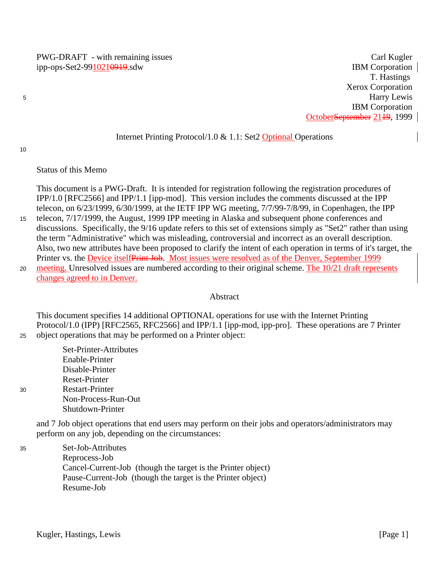T. Hastings Xerox Corporation Harry Lewis IBM Corporation October<del>September</del> 21<del>19</del>, 1999

### Internet Printing Protocol/1.0 & 1.1: Set2 Optional Operations

10

30

5

### Status of this Memo

This document is a PWG-Draft. It is intended for registration following the registration procedures of IPP/1.0 [RFC2566] and IPP/1.1 [ipp-mod]. This version includes the comments discussed at the IPP telecon, on 6/23/1999, 6/30/1999, at the IETF IPP WG meeting, 7/7/99-7/8/99, in Copenhagen, the IPP

- telecon, 7/17/1999, the August, 1999 IPP meeting in Alaska and subsequent phone conferences and discussions. Specifically, the 9/16 update refers to this set of extensions simply as "Set2" rather than using the term "Administrative" which was misleading, controversial and incorrect as an overall description. Also, two new attributes have been proposed to clarify the intent of each operation in terms of it's target, the Printer vs. the Device itselfPrint Job. Most issues were resolved as of the Denver, September 1999 15
- meeting. Unresolved issues are numbered according to their original scheme. The 10/21 draft represents changes agreed to in Denver. 20

### Abstract

This document specifies 14 additional OPTIONAL operations for use with the Internet Printing Protocol/1.0 (IPP) [RFC2565, RFC2566] and IPP/1.1 [ipp-mod, ipp-pro]. These operations are 7 Printer object operations that may be performed on a Printer object: 25

Set-Printer-Attributes Enable-Printer Disable-Printer Reset-Printer Restart-Printer Non-Process-Run-Out Shutdown-Printer

and 7 Job object operations that end users may perform on their jobs and operators/administrators may perform on any job, depending on the circumstances:

Set-Job-Attributes Reprocess-Job Cancel-Current-Job (though the target is the Printer object) Pause-Current-Job (though the target is the Printer object) Resume-Job 35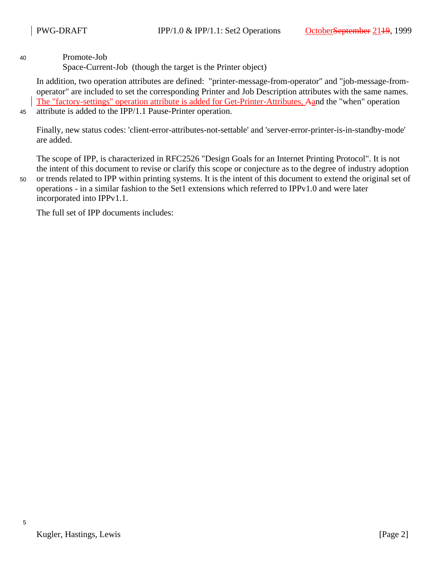Promote-Job

Space-Current-Job (though the target is the Printer object)

In addition, two operation attributes are defined: "printer-message-from-operator" and "job-message-fromoperator" are included to set the corresponding Printer and Job Description attributes with the same names. The "factory-settings" operation attribute is added for Get-Printer-Attributes, Aand the "when" operation attribute is added to the IPP/1.1 Pause-Printer operation.

45

40

Finally, new status codes: 'client-error-attributes-not-settable' and 'server-error-printer-is-in-standby-mode' are added.

The scope of IPP, is characterized in RFC2526 "Design Goals for an Internet Printing Protocol". It is not the intent of this document to revise or clarify this scope or conjecture as to the degree of industry adoption

50

or trends related to IPP within printing systems. It is the intent of this document to extend the original set of operations - in a similar fashion to the Set1 extensions which referred to IPPv1.0 and were later incorporated into IPPv1.1.

The full set of IPP documents includes: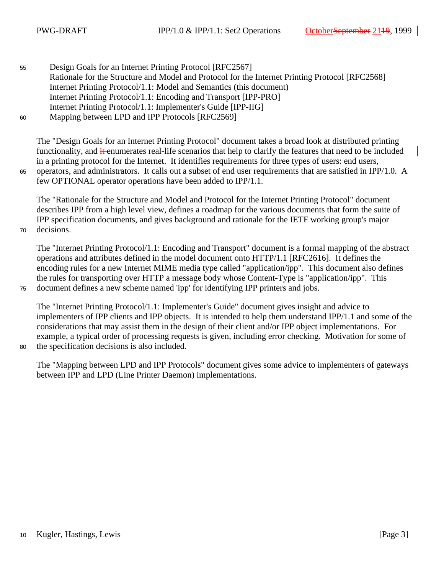65

70

75

Design Goals for an Internet Printing Protocol [RFC2567] Rationale for the Structure and Model and Protocol for the Internet Printing Protocol [RFC2568] Internet Printing Protocol/1.1: Model and Semantics (this document) Internet Printing Protocol/1.1: Encoding and Transport [IPP-PRO] Internet Printing Protocol/1.1: Implementer's Guide [IPP-IIG] Mapping between LPD and IPP Protocols [RFC2569] 55 60

The "Design Goals for an Internet Printing Protocol" document takes a broad look at distributed printing functionality, and  $\frac{d}{dt}$  enumerates real-life scenarios that help to clarify the features that need to be included in a printing protocol for the Internet. It identifies requirements for three types of users: end users, operators, and administrators. It calls out a subset of end user requirements that are satisfied in IPP/1.0. A few OPTIONAL operator operations have been added to IPP/1.1.

The "Rationale for the Structure and Model and Protocol for the Internet Printing Protocol" document describes IPP from a high level view, defines a roadmap for the various documents that form the suite of IPP specification documents, and gives background and rationale for the IETF working group's major decisions.

The "Internet Printing Protocol/1.1: Encoding and Transport" document is a formal mapping of the abstract operations and attributes defined in the model document onto HTTP/1.1 [RFC2616]. It defines the encoding rules for a new Internet MIME media type called "application/ipp". This document also defines the rules for transporting over HTTP a message body whose Content-Type is "application/ipp". This document defines a new scheme named 'ipp' for identifying IPP printers and jobs.

The "Internet Printing Protocol/1.1: Implementer's Guide" document gives insight and advice to implementers of IPP clients and IPP objects. It is intended to help them understand IPP/1.1 and some of the considerations that may assist them in the design of their client and/or IPP object implementations. For example, a typical order of processing requests is given, including error checking. Motivation for some of the specification decisions is also included.

80

The "Mapping between LPD and IPP Protocols" document gives some advice to implementers of gateways between IPP and LPD (Line Printer Daemon) implementations.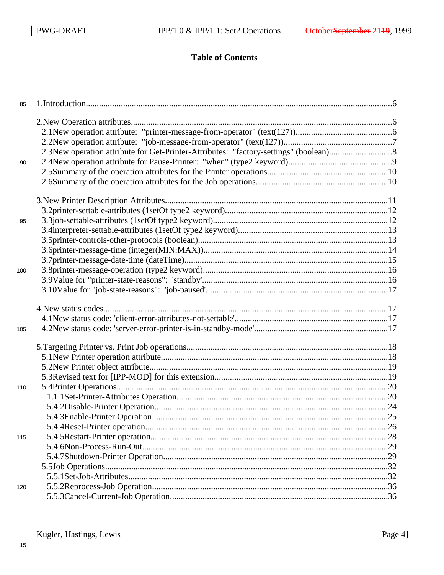# **Table of Contents**

| 85  |  |
|-----|--|
|     |  |
|     |  |
|     |  |
|     |  |
| 90  |  |
|     |  |
|     |  |
|     |  |
|     |  |
| 95  |  |
|     |  |
|     |  |
|     |  |
|     |  |
| 100 |  |
|     |  |
|     |  |
|     |  |
|     |  |
| 105 |  |
|     |  |
|     |  |
|     |  |
|     |  |
|     |  |
| 110 |  |
|     |  |
|     |  |
|     |  |
|     |  |
| 115 |  |
|     |  |
|     |  |
|     |  |
|     |  |
| 120 |  |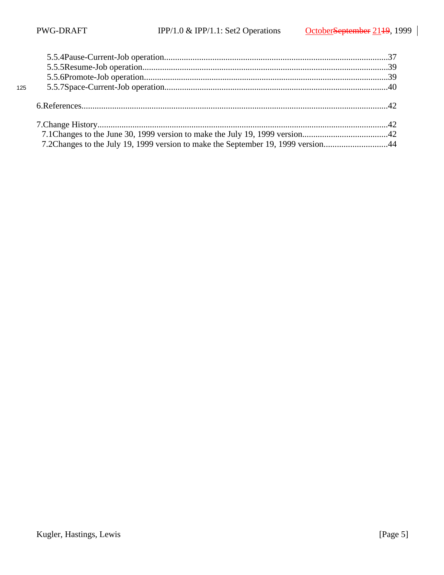| 125 |                                                                                  |  |
|-----|----------------------------------------------------------------------------------|--|
|     |                                                                                  |  |
|     |                                                                                  |  |
|     |                                                                                  |  |
|     | 7.2Changes to the July 19, 1999 version to make the September 19, 1999 version44 |  |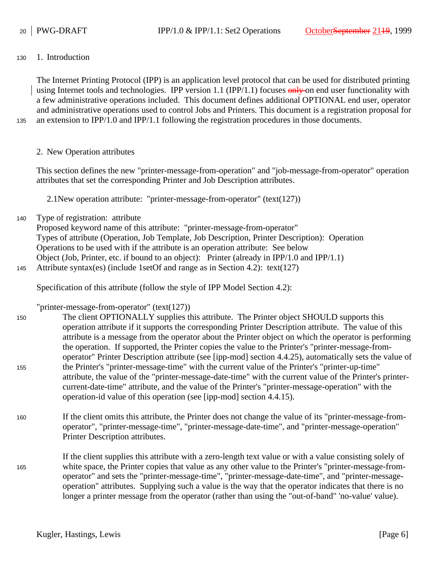1. Introduction 130

> The Internet Printing Protocol (IPP) is an application level protocol that can be used for distributed printing using Internet tools and technologies. IPP version 1.1 (IPP/1.1) focuses  $\frac{\text{only}}{\text{only}}$  on end user functionality with a few administrative operations included. This document defines additional OPTIONAL end user, operator and administrative operations used to control Jobs and Printers. This document is a registration proposal for an extension to IPP/1.0 and IPP/1.1 following the registration procedures in those documents.

135

145

2. New Operation attributes

This section defines the new "printer-message-from-operation" and "job-message-from-operator" operation attributes that set the corresponding Printer and Job Description attributes.

2.1New operation attribute: "printer-message-from-operator" (text(127))

Type of registration: attribute 140

> Proposed keyword name of this attribute: "printer-message-from-operator" Types of attribute (Operation, Job Template, Job Description, Printer Description): Operation Operations to be used with if the attribute is an operation attribute: See below Object (Job, Printer, etc. if bound to an object): Printer (already in IPP/1.0 and IPP/1.1) Attribute syntax(es) (include 1setOf and range as in Section 4.2): text(127)

Specification of this attribute (follow the style of IPP Model Section 4.2):

"printer-message-from-operator" (text(127))

The client OPTIONALLY supplies this attribute. The Printer object SHOULD supports this operation attribute if it supports the corresponding Printer Description attribute. The value of this attribute is a message from the operator about the Printer object on which the operator is performing the operation. If supported, the Printer copies the value to the Printer's "printer-message-fromoperator" Printer Description attribute (see [ipp-mod] section 4.4.25), automatically sets the value of the Printer's "printer-message-time" with the current value of the Printer's "printer-up-time" attribute, the value of the "printer-message-date-time" with the current value of the Printer's printercurrent-date-time" attribute, and the value of the Printer's "printer-message-operation" with the operation-id value of this operation (see [ipp-mod] section 4.4.15). 150 155

- If the client omits this attribute, the Printer does not change the value of its "printer-message-fromoperator", "printer-message-time", "printer-message-date-time", and "printer-message-operation" Printer Description attributes. 160
- If the client supplies this attribute with a zero-length text value or with a value consisting solely of white space, the Printer copies that value as any other value to the Printer's "printer-message-fromoperator" and sets the "printer-message-time", "printer-message-date-time", and "printer-messageoperation" attributes. Supplying such a value is the way that the operator indicates that there is no longer a printer message from the operator (rather than using the "out-of-band" 'no-value' value). 165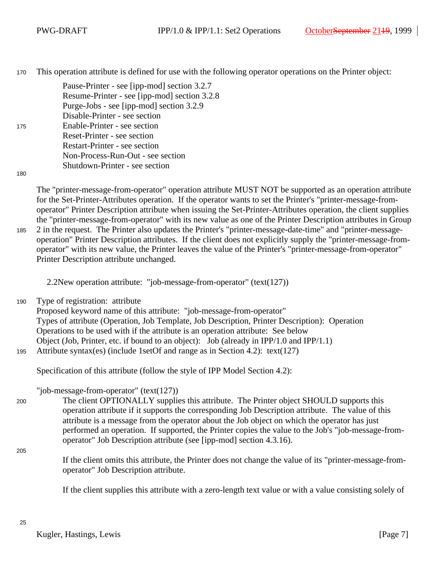This operation attribute is defined for use with the following operator operations on the Printer object: 170

> Pause-Printer - see [ipp-mod] section 3.2.7 Resume-Printer - see [ipp-mod] section 3.2.8 Purge-Jobs - see [ipp-mod] section 3.2.9 Disable-Printer - see section Enable-Printer - see section Reset-Printer - see section Restart-Printer - see section Non-Process-Run-Out - see section Shutdown-Printer - see section

180

175

The "printer-message-from-operator" operation attribute MUST NOT be supported as an operation attribute for the Set-Printer-Attributes operation. If the operator wants to set the Printer's "printer-message-fromoperator" Printer Description attribute when issuing the Set-Printer-Attributes operation, the client supplies the "printer-message-from-operator" with its new value as one of the Printer Description attributes in Group 2 in the request. The Printer also updates the Printer's "printer-message-date-time" and "printer-messageoperation" Printer Description attributes. If the client does not explicitly supply the "printer-message-fromoperator" with its new value, the Printer leaves the value of the Printer's "printer-message-from-operator" Printer Description attribute unchanged. 185

2.2New operation attribute: "job-message-from-operator" (text(127))

Type of registration: attribute 190

> Proposed keyword name of this attribute: "job-message-from-operator" Types of attribute (Operation, Job Template, Job Description, Printer Description): Operation Operations to be used with if the attribute is an operation attribute: See below Object (Job, Printer, etc. if bound to an object): Job (already in IPP/1.0 and IPP/1.1) Attribute syntax(es) (include 1setOf and range as in Section 4.2): text(127)

Specification of this attribute (follow the style of IPP Model Section 4.2):

"job-message-from-operator" (text(127))

The client OPTIONALLY supplies this attribute. The Printer object SHOULD supports this operation attribute if it supports the corresponding Job Description attribute. The value of this attribute is a message from the operator about the Job object on which the operator has just performed an operation. If supported, the Printer copies the value to the Job's "job-message-fromoperator" Job Description attribute (see [ipp-mod] section 4.3.16).

205

195

200

If the client omits this attribute, the Printer does not change the value of its "printer-message-fromoperator" Job Description attribute.

If the client supplies this attribute with a zero-length text value or with a value consisting solely of

Kugler, Hastings, Lewis [Page 7] [Page 7]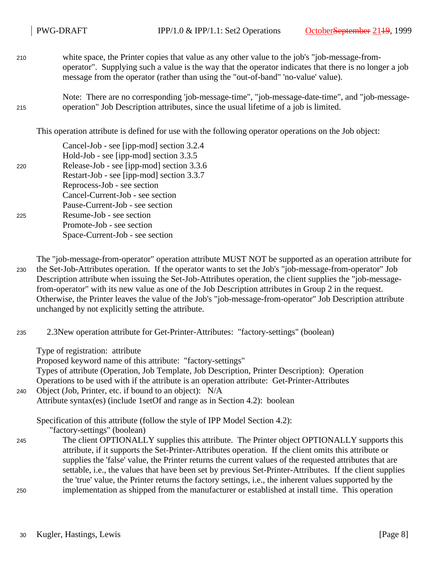- white space, the Printer copies that value as any other value to the job's "job-message-fromoperator". Supplying such a value is the way that the operator indicates that there is no longer a job message from the operator (rather than using the "out-of-band" 'no-value' value). 210
- Note: There are no corresponding 'job-message-time", "job-message-date-time", and "job-messageoperation" Job Description attributes, since the usual lifetime of a job is limited. 215

This operation attribute is defined for use with the following operator operations on the Job object:

|     | Cancel-Job - see [ipp-mod] section 3.2.4  |
|-----|-------------------------------------------|
|     | Hold-Job - see [ipp-mod] section 3.3.5    |
| 220 | Release-Job - see [ipp-mod] section 3.3.6 |
|     | Restart-Job - see [ipp-mod] section 3.3.7 |
|     | Reprocess-Job - see section               |
|     | Cancel-Current-Job - see section          |
|     | Pause-Current-Job - see section           |
| 225 | Resume-Job - see section                  |
|     | Promote-Job - see section                 |
|     | Space-Current-Job - see section           |
|     |                                           |

The "job-message-from-operator" operation attribute MUST NOT be supported as an operation attribute for the Set-Job-Attributes operation. If the operator wants to set the Job's "job-message-from-operator" Job Description attribute when issuing the Set-Job-Attributes operation, the client supplies the "job-messagefrom-operator" with its new value as one of the Job Description attributes in Group 2 in the request. Otherwise, the Printer leaves the value of the Job's "job-message-from-operator" Job Description attribute unchanged by not explicitly setting the attribute. 230

2.3New operation attribute for Get-Printer-Attributes: "factory-settings" (boolean) 235

Type of registration: attribute

Proposed keyword name of this attribute: "factory-settings"

Types of attribute (Operation, Job Template, Job Description, Printer Description): Operation

Operations to be used with if the attribute is an operation attribute: Get-Printer-Attributes

Object (Job, Printer, etc. if bound to an object): N/A 240

Attribute syntax(es) (include 1setOf and range as in Section 4.2): boolean

Specification of this attribute (follow the style of IPP Model Section 4.2):

"factory-settings" (boolean)

The client OPTIONALLY supplies this attribute. The Printer object OPTIONALLY supports this attribute, if it supports the Set-Printer-Attributes operation. If the client omits this attribute or supplies the 'false' value, the Printer returns the current values of the requested attributes that are settable, i.e., the values that have been set by previous Set-Printer-Attributes. If the client supplies the 'true' value, the Printer returns the factory settings, i.e., the inherent values supported by the implementation as shipped from the manufacturer or established at install time. This operation 245 250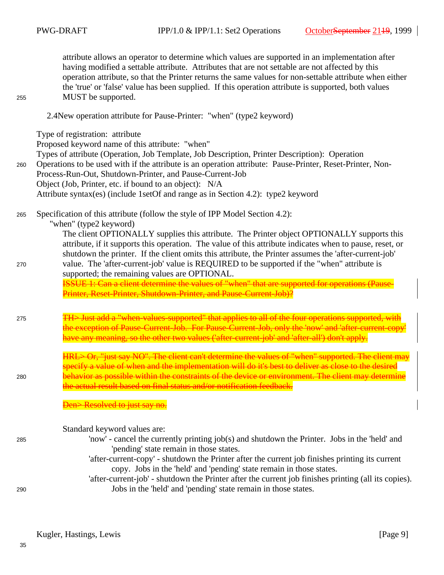255

attribute allows an operator to determine which values are supported in an implementation after having modified a settable attribute. Attributes that are not settable are not affected by this operation attribute, so that the Printer returns the same values for non-settable attribute when either the 'true' or 'false' value has been supplied. If this operation attribute is supported, both values MUST be supported.

### 2.4New operation attribute for Pause-Printer: "when" (type2 keyword)

Type of registration: attribute Proposed keyword name of this attribute: "when" Types of attribute (Operation, Job Template, Job Description, Printer Description): Operation Operations to be used with if the attribute is an operation attribute: Pause-Printer, Reset-Printer, Non-Process-Run-Out, Shutdown-Printer, and Pause-Current-Job Object (Job, Printer, etc. if bound to an object): N/A Attribute syntax(es) (include 1setOf and range as in Section 4.2): type2 keyword Specification of this attribute (follow the style of IPP Model Section 4.2): "when" (type2 keyword) The client OPTIONALLY supplies this attribute. The Printer object OPTIONALLY supports this attribute, if it supports this operation. The value of this attribute indicates when to pause, reset, or shutdown the printer. If the client omits this attribute, the Printer assumes the 'after-current-job' value. The 'after-current-job' value is REQUIRED to be supported if the "when" attribute is supported; the remaining values are OPTIONAL. ISSUE 1: Can a client determine the values of "when" that are supported for operations (Pause-Printer, Reset-Printer, Shutdown-Printer, and Pause-Current-Job)? TH> Just add a "when-values-supported" that applies to all of the four operations supported, with the exception of Pause-Current-Job. For Pause-Current-Job, only the 'now' and 'after-current-cop have any meaning, so the other two values ('after-current-job' and 'after-all') don't apply. HRL> Or, "just say NO". The client can't determine the values of "when" supported. The client may specify a value of when and the implementation will do it's best to deliver as close to the desired behavior as possible within the constraints of the device or environment. The client may determine the actual result based on final status and/or notification feedback. Den>Resolved to just say no. Standard keyword values are: 'now' - cancel the currently printing job(s) and shutdown the Printer. Jobs in the 'held' and 'pending' state remain in those states. 'after-current-copy' - shutdown the Printer after the current job finishes printing its current copy. Jobs in the 'held' and 'pending' state remain in those states. 'after-current-job' - shutdown the Printer after the current job finishes printing (all its copies). Jobs in the 'held' and 'pending' state remain in those states. 260 265 270 275 280 285 290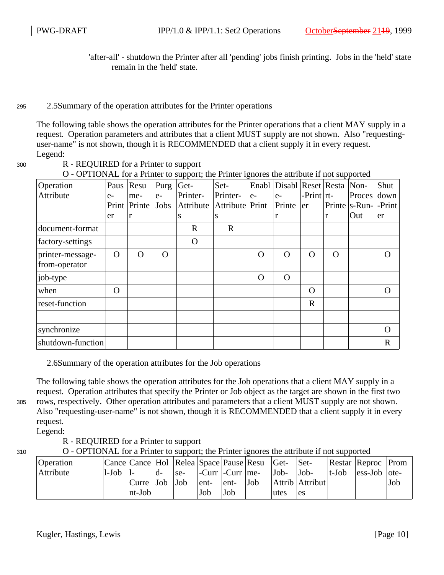'after-all' - shutdown the Printer after all 'pending' jobs finish printing. Jobs in the 'held' state remain in the 'held' state.

#### 2.5Summary of the operation attributes for the Printer operations 295

The following table shows the operation attributes for the Printer operations that a client MAY supply in a request. Operation parameters and attributes that a client MUST supply are not shown. Also "requestinguser-name" is not shown, though it is RECOMMENDED that a client supply it in every request. Legend:

300

R - REQUIRED for a Printer to support

|                   |          |              |          | <b>FF</b> 7 |                 | o        |                               |                |          |                       |              |
|-------------------|----------|--------------|----------|-------------|-----------------|----------|-------------------------------|----------------|----------|-----------------------|--------------|
| Operation         | Paus     | Resu         | Purg     | Get-        | Set-            |          | Enabl Disabl Reset Resta Non- |                |          |                       | Shut         |
| Attribute         | $e-$     | me-          | $e-$     | Printer-    | Printer-        | $e-$     | $e-$                          | $-Print  rt-$  |          | Proces                | down         |
|                   |          | Print Printe | Jobs     | Attribute   | Attribute Print |          | Printe                        | er             |          | Printe s-Run- - Print |              |
|                   | er       | r            |          | S           | S               |          | r                             |                |          | Out                   | er           |
| document-format   |          |              |          | $\mathbf R$ | $\mathbf R$     |          |                               |                |          |                       |              |
| factory-settings  |          |              |          | $\mathbf O$ |                 |          |                               |                |          |                       |              |
| printer-message-  | $\Omega$ | O            | $\Omega$ |             |                 | $\Omega$ | $\Omega$                      | $\Omega$       | $\Omega$ |                       | O            |
| from-operator     |          |              |          |             |                 |          |                               |                |          |                       |              |
| job-type          |          |              |          |             |                 | $\Omega$ | $\Omega$                      |                |          |                       |              |
| when              | $\Omega$ |              |          |             |                 |          |                               | $\overline{O}$ |          |                       | $\Omega$     |
| reset-function    |          |              |          |             |                 |          |                               | $\mathbf R$    |          |                       |              |
|                   |          |              |          |             |                 |          |                               |                |          |                       |              |
| synchronize       |          |              |          |             |                 |          |                               |                |          |                       | O            |
| shutdown-function |          |              |          |             |                 |          |                               |                |          |                       | $\mathbb{R}$ |

O - OPTIONAL for a Printer to support; the Printer ignores the attribute if not supported

2.6Summary of the operation attributes for the Job operations

The following table shows the operation attributes for the Job operations that a client MAY supply in a request. Operation attributes that specify the Printer or Job object as the target are shown in the first two rows, respectively. Other operation attributes and parameters that a client MUST supply are not shown. Also "requesting-user-name" is not shown, though it is RECOMMENDED that a client supply it in every request.

Legend:

305

310

## R - REQUIRED for a Printer to support

O - OPTIONAL for a Printer to support; the Printer ignores the attribute if not supported

| Operation |       | Cance Cance   Hol   Relea   Space   Pause   Resu   Get- |     |       |                             |      |     |                   | Set-              |           | <b>Restar Reproc</b> Prom            |     |
|-----------|-------|---------------------------------------------------------|-----|-------|-----------------------------|------|-----|-------------------|-------------------|-----------|--------------------------------------|-----|
| Attribute | l-Job |                                                         |     | $se-$ | $ $ -Curr $ $ -Curr $ $ me- |      |     | $Job-$            | $Job-$            | $ t-Job $ | $\left  \text{ess-Job} \right $ ote- |     |
|           |       | Curre                                                   | Job | Job   | ent-                        | ent- | Job |                   | Attrib   Attribut |           |                                      | Job |
|           |       | nt-Job                                                  |     |       | Job                         | Job  |     | utes <sup>'</sup> | es                |           |                                      |     |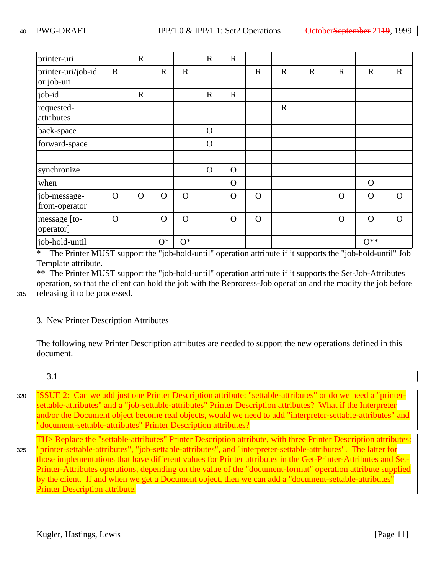| printer-uri                      |              | $\mathbf R$ |              |                | $\mathbf R$  | $\mathbf R$ |              |             |             |              |                |              |
|----------------------------------|--------------|-------------|--------------|----------------|--------------|-------------|--------------|-------------|-------------|--------------|----------------|--------------|
| printer-uri/job-id<br>or job-uri | $\mathbf{R}$ |             | $\mathbf R$  | $\mathbf{R}$   |              |             | $\mathbf R$  | $\mathbf R$ | $\mathbf R$ | $\mathbf{R}$ | $\mathbf R$    | $\mathbf{R}$ |
| job-id                           |              | $\mathbf R$ |              |                | $\mathbf R$  | $\mathbf R$ |              |             |             |              |                |              |
| requested-<br>attributes         |              |             |              |                |              |             |              | $\mathbf R$ |             |              |                |              |
| back-space                       |              |             |              |                | $\mathbf{O}$ |             |              |             |             |              |                |              |
| forward-space                    |              |             |              |                | $\Omega$     |             |              |             |             |              |                |              |
|                                  |              |             |              |                |              |             |              |             |             |              |                |              |
| synchronize                      |              |             |              |                | $\mathbf O$  | $\Omega$    |              |             |             |              |                |              |
| when                             |              |             |              |                |              | $\Omega$    |              |             |             |              | $\Omega$       |              |
| job-message-<br>from-operator    | $\mathbf O$  | $\Omega$    | $\mathbf O$  | $\overline{O}$ |              | $\Omega$    | $\mathbf{O}$ |             |             | $\Omega$     | $\Omega$       | $\Omega$     |
| message [to-<br>operator]        | $\mathbf O$  |             | $\mathbf{O}$ | $\mathbf O$    |              | $\mathbf O$ | $\mathbf{O}$ |             |             | $\Omega$     | $\mathbf O$    | $\Omega$     |
| job-hold-until                   |              |             | $O^*$        | $O^*$          |              |             |              |             |             |              | $O^{\ast\ast}$ |              |

\* The Printer MUST support the "job-hold-until" operation attribute if it supports the "job-hold-until" Job Template attribute.

\*\* The Printer MUST support the "job-hold-until" operation attribute if it supports the Set-Job-Attributes operation, so that the client can hold the job with the Reprocess-Job operation and the modify the job before releasing it to be processed.

315

## 3. New Printer Description Attributes

The following new Printer Description attributes are needed to support the new operations defined in this document.

### 3.1

Ian we add just one Printer Description attribute: "settable-attributes" or do we need a "printersettable-attributes" and a "job-settable-attributes" Printer Description attributes? What if the Interpreter and/or the Document object become real objects, would we need to add "interpreter-settable "document-settable-attributes" Printer Description attributes? 320

Replace the "settable-attributes" Printer Description attribute, with three Printer Description attributes: b-settable-attributes", and "interpreter-settable-attributes". The latter for those implementations that have different values for Printer attributes in the Get-Printer-Attributes and Set-Printer-Attributes operations, depending on the value of the "document-format" operation attribute supplied by the client. If and when we get a Document object, then we can add a "document-settable-attributes" Printer Description attribute. 325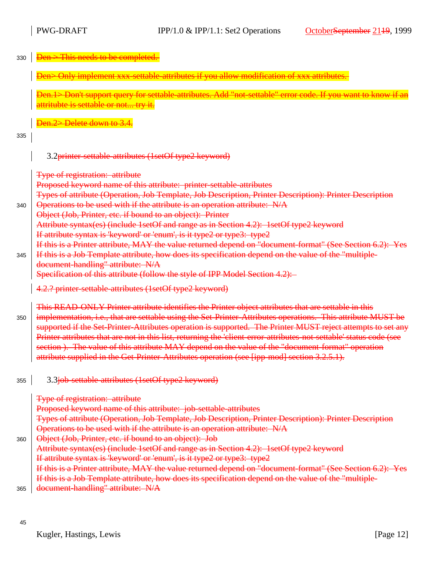| 330 | Den > This needs to be completed.                                                                                                                                                                                                                                                                                                                                                                                                                                                                                                                                                                                                                           |
|-----|-------------------------------------------------------------------------------------------------------------------------------------------------------------------------------------------------------------------------------------------------------------------------------------------------------------------------------------------------------------------------------------------------------------------------------------------------------------------------------------------------------------------------------------------------------------------------------------------------------------------------------------------------------------|
|     | Den> Only implement xxx-settable-attributes if you allow modification of xxx attributes.                                                                                                                                                                                                                                                                                                                                                                                                                                                                                                                                                                    |
|     | Den.1> Don't support query for settable-attributes. Add "not-settable" error code. If you want to know if an<br>attritubte is settable or not try it.                                                                                                                                                                                                                                                                                                                                                                                                                                                                                                       |
|     | Den.2> Delete down to 3.4.                                                                                                                                                                                                                                                                                                                                                                                                                                                                                                                                                                                                                                  |
| 335 |                                                                                                                                                                                                                                                                                                                                                                                                                                                                                                                                                                                                                                                             |
|     | 3.2printer-settable-attributes (1setOf type2 keyword)                                                                                                                                                                                                                                                                                                                                                                                                                                                                                                                                                                                                       |
|     | <b>Type of registration: attribute</b>                                                                                                                                                                                                                                                                                                                                                                                                                                                                                                                                                                                                                      |
|     | Proposed keyword name of this attribute: printer-settable-attributes                                                                                                                                                                                                                                                                                                                                                                                                                                                                                                                                                                                        |
| 340 | Types of attribute (Operation, Job Template, Job Description, Printer Description): Printer Description<br>Operations to be used with if the attribute is an operation attribute: N/A                                                                                                                                                                                                                                                                                                                                                                                                                                                                       |
|     | Object (Job, Printer, etc. if bound to an object): Printer                                                                                                                                                                                                                                                                                                                                                                                                                                                                                                                                                                                                  |
|     | Attribute syntax(es) (include 1setOf and range as in Section 4.2): 1setOf type2 keyword<br>If attribute syntax is 'keyword' or 'enum', is it type2 or type3: type2                                                                                                                                                                                                                                                                                                                                                                                                                                                                                          |
|     | If this is a Printer attribute, MAY the value returned depend on "document-format" (See Section 6.2): Yes                                                                                                                                                                                                                                                                                                                                                                                                                                                                                                                                                   |
| 345 | If this is a Job Template attribute, how does its specification depend on the value of the "multiple-                                                                                                                                                                                                                                                                                                                                                                                                                                                                                                                                                       |
|     | document-handling" attribute: N/A                                                                                                                                                                                                                                                                                                                                                                                                                                                                                                                                                                                                                           |
|     | Specification of this attribute (follow the style of IPP Model Section 4.2):                                                                                                                                                                                                                                                                                                                                                                                                                                                                                                                                                                                |
|     | 4.2.? printer-settable-attributes (1setOf type2 keyword)                                                                                                                                                                                                                                                                                                                                                                                                                                                                                                                                                                                                    |
| 350 | This READ-ONLY Printer attribute identifies the Printer object attributes that are settable in this<br>implementation, i.e., that are settable using the Set-Printer-Attributes operations. This attribute MUST be<br>supported if the Set-Printer-Attributes operation is supported. The Printer MUST reject attempts to set any<br>Printer attributes that are not in this list, returning the 'client-error-attributes-not-settable' status code (see<br>section). The value of this attribute MAY depend on the value of the "document-format" operation<br>attribute supplied in the Get-Printer-Attributes operation (see [ipp-mod] section 3.2.5.1). |
| 355 | 3.3job-settable-attributes (1setOf type2 keyword)                                                                                                                                                                                                                                                                                                                                                                                                                                                                                                                                                                                                           |
|     | <b>Type of registration: attribute</b>                                                                                                                                                                                                                                                                                                                                                                                                                                                                                                                                                                                                                      |
|     | Proposed keyword name of this attribute: job-settable-attributes                                                                                                                                                                                                                                                                                                                                                                                                                                                                                                                                                                                            |
|     | Types of attribute (Operation, Job Template, Job Description, Printer Description): Printer Description<br>Operations to be used with if the attribute is an operation attribute: N/A                                                                                                                                                                                                                                                                                                                                                                                                                                                                       |
| 360 | Object (Job, Printer, etc. if bound to an object): Job                                                                                                                                                                                                                                                                                                                                                                                                                                                                                                                                                                                                      |
|     | Attribute syntax(es) (include 1setOf and range as in Section 4.2): 1setOf type2 keyword                                                                                                                                                                                                                                                                                                                                                                                                                                                                                                                                                                     |
|     | If attribute syntax is 'keyword' or 'enum', is it type2 or type3: type2                                                                                                                                                                                                                                                                                                                                                                                                                                                                                                                                                                                     |
|     | If this is a Printer attribute, MAY the value returned depend on "document-format" (See Section 6.2): Yes                                                                                                                                                                                                                                                                                                                                                                                                                                                                                                                                                   |
|     | If this is a Job Template attribute, how does its specification depend on the value of the "multiple-                                                                                                                                                                                                                                                                                                                                                                                                                                                                                                                                                       |
| 365 | document-handling" attribute: N/A                                                                                                                                                                                                                                                                                                                                                                                                                                                                                                                                                                                                                           |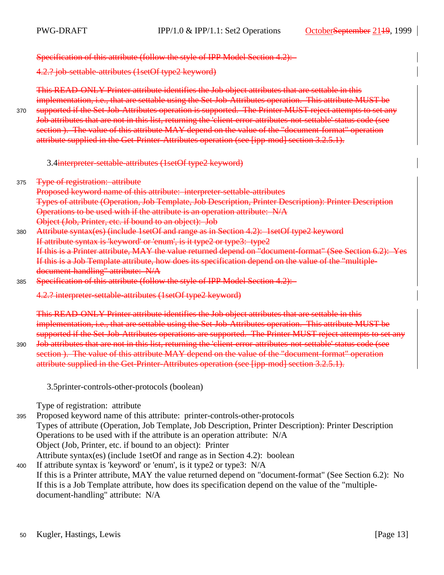370

Specification of this attribute (follow the style of IPP Model Section 4.2):

4.2.? job-settable-attributes (1setOf type2 keyword)

This READ-ONLY Printer attribute identifies the Job object attributes that are settable in this implementation, i.e., that are settable using the Set-Job-Attributes operation. This attribute MUST be supported if the Set-Job-Attributes operation is supported. The Printer MUST reject attempts to set any Job attributes that are not in this list, returning the 'client-error-attributes-not-settable' status code (see section ). The value of this attribute MAY depend on the value of the "document-format" operation attribute supplied in the Get-Printer-Attributes operation (see [ipp-mod] section 3.2.5.1).

3.4interpreter-settable-attributes (1setOf type2 keyword)

- Type of registration: attribute 375
	- Proposed keyword name of this attribute: interpreter-settable-attributes Types of attribute (Operation, Job Template, Job Description, Printer Description): Printer Description Operations to be used with if the attribute is an operation attribute: N/A Object (Job, Printer, etc. if bound to an object): Job
- Attribute syntax(es) (include 1setOf and range as in Section 4.2): 1setOf type2 keyword If attribute syntax is 'keyword' or 'enum', is it type2 or type3: type2 If this is a Printer attribute, MAY the value returned depend on "document-format" (See Section 6.2): Yes If this is a Job Template attribute, how does its specification depend on the value of the "multipledocument-handling" attribute: N/A 380
- Specification of this attribute (follow the style of IPP Model Section 4.2): 385

4.2.? interpreter-settable-attributes (1setOf type2 keyword)

This READ-ONLY Printer attribute identifies the Job object attributes that are settable in this implementation, i.e., that are settable using the Set-Job-Attributes operation. This attribute MUST be supported if the Set-Job-Attributes operations are supported. The Printer MUST reject attempts to set any

Job attributes that are not in this list, returning the 'client-error-attributes-not-settable' status code (see section ). The value of this attribute MAY depend on the value of the "document-format" operation attribute supplied in the Get-Printer-Attributes operation (see [ipp-mod] section 3.2.5.1). 390

3.5printer-controls-other-protocols (boolean)

Type of registration: attribute

Proposed keyword name of this attribute: printer-controls-other-protocols Types of attribute (Operation, Job Template, Job Description, Printer Description): Printer Description Operations to be used with if the attribute is an operation attribute: N/A Object (Job, Printer, etc. if bound to an object): Printer Attribute syntax(es) (include 1setOf and range as in Section 4.2): boolean 395

If attribute syntax is 'keyword' or 'enum', is it type2 or type3: N/A If this is a Printer attribute, MAY the value returned depend on "document-format" (See Section 6.2): No If this is a Job Template attribute, how does its specification depend on the value of the "multipledocument-handling" attribute: N/A 400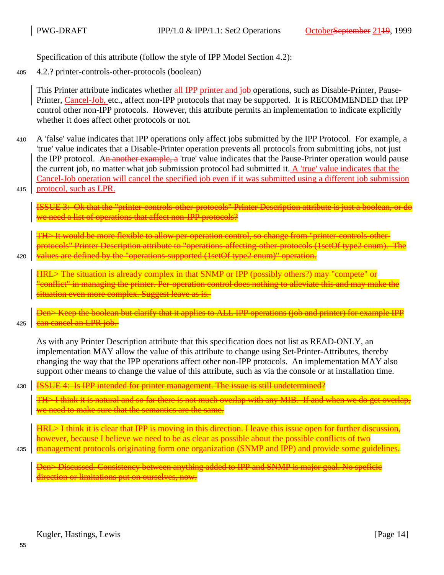Specification of this attribute (follow the style of IPP Model Section 4.2):

4.2.? printer-controls-other-protocols (boolean) 405

> This Printer attribute indicates whether all IPP printer and job operations, such as Disable-Printer, Pause-Printer, Cancel-Job, etc., affect non-IPP protocols that may be supported. It is RECOMMENDED that IPP control other non-IPP protocols. However, this attribute permits an implementation to indicate explicitly whether it does affect other protocols or not.

- A 'false' value indicates that IPP operations only affect jobs submitted by the IPP Protocol. For example, a 'true' value indicates that a Disable-Printer operation prevents all protocols from submitting jobs, not just the IPP protocol. An another example, a 'true' value indicates that the Pause-Printer operation would pause the current job, no matter what job submission protocol had submitted it. A 'true' value indicates that the Cancel-Job operation will cancel the specified job even if it was submitted using a different job submission protocol, such as LPR. 410
- 415

UE 3: Ok that the "printer-controls-other-protocols" Printer Description attribute is just a boolean, or de we need a list of operations that affect non-IPP protocols?

TH> It would be more flexible to allow per-operation control, so change from "printer-contro protocols" Printer Description attribute to "operations-affecting-other-protocols (1setOf type2 enum). The values are defined by the "operations-supported (1setOf type2 enum)" operation.

420

 $\rm{HRL}\rm{>The~situation~is~already~complex~in~that~SNMP~or~IPP~(possibly~others?)~may''compet}$ conflict" in managing the printer. Per-operation control does nothing to alleviate this and may situation even more complex. Suggest leave as is.

Den> Keep the boolean but clarify that it applies to ALL IPP operations (job and printer) for example IPP an cancel an LPR job. **Th** 425

As with any Printer Description attribute that this specification does not list as READ-ONLY, an implementation MAY allow the value of this attribute to change using Set-Printer-Attributes, thereby changing the way that the IPP operations affect other non-IPP protocols. An implementation MAY also support other means to change the value of this attribute, such as via the console or at installation time.

430

435

<u>UE 4: Is IPP intended for printer management. The issue is still undetermined?</u>

TH> I think it is natural and so far there is not much overlap with any MIB. If and when we do get overlap, we need to make sure that the semantics are the same.

HRL> I think it is clear that IPP is moving in this direction. I leave this issue open for further discussion, however, because I believe we need to be as clear as possible about the possible conflicts of two management protocols originating form one organization (SNMP and IPP) and provide some guidelines.

Den> Discussed. Consistency between anything added to IPP and SNMP is major goal. No speficic irection or limitations put on ourselves, now.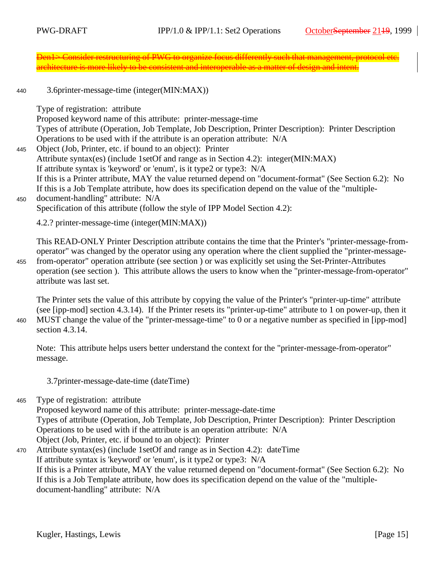Den1> Consider restructuring of PWG to organize focus differently such that management, protocol etc. architecture is more likely to be consistent and interoperable as a matter of design and intent.

3.6printer-message-time (integer(MIN:MAX)) 440

Type of registration: attribute

Proposed keyword name of this attribute: printer-message-time Types of attribute (Operation, Job Template, Job Description, Printer Description): Printer Description Operations to be used with if the attribute is an operation attribute: N/A Object (Job, Printer, etc. if bound to an object): Printer Attribute syntax(es) (include 1setOf and range as in Section 4.2): integer(MIN:MAX) If attribute syntax is 'keyword' or 'enum', is it type2 or type3: N/A If this is a Printer attribute, MAY the value returned depend on "document-format" (See Section 6.2): No If this is a Job Template attribute, how does its specification depend on the value of the "multipledocument-handling" attribute: N/A Specification of this attribute (follow the style of IPP Model Section 4.2): 4.2.? printer-message-time (integer(MIN:MAX)) 445 450

This READ-ONLY Printer Description attribute contains the time that the Printer's "printer-message-fromoperator" was changed by the operator using any operation where the client supplied the "printer-messagefrom-operator" operation attribute (see section ) or was explicitly set using the Set-Printer-Attributes

operation (see section ). This attribute allows the users to know when the "printer-message-from-operator" attribute was last set. 455

The Printer sets the value of this attribute by copying the value of the Printer's "printer-up-time" attribute (see [ipp-mod] section 4.3.14). If the Printer resets its "printer-up-time" attribute to 1 on power-up, then it MUST change the value of the "printer-message-time" to 0 or a negative number as specified in [ipp-mod] section 4.3.14. 460

Note: This attribute helps users better understand the context for the "printer-message-from-operator" message.

3.7printer-message-date-time (dateTime)

Type of registration: attribute 465

Proposed keyword name of this attribute: printer-message-date-time Types of attribute (Operation, Job Template, Job Description, Printer Description): Printer Description Operations to be used with if the attribute is an operation attribute: N/A Object (Job, Printer, etc. if bound to an object): Printer

Attribute syntax(es) (include 1setOf and range as in Section 4.2): dateTime If attribute syntax is 'keyword' or 'enum', is it type2 or type3: N/A If this is a Printer attribute, MAY the value returned depend on "document-format" (See Section 6.2): No If this is a Job Template attribute, how does its specification depend on the value of the "multipledocument-handling" attribute: N/A 470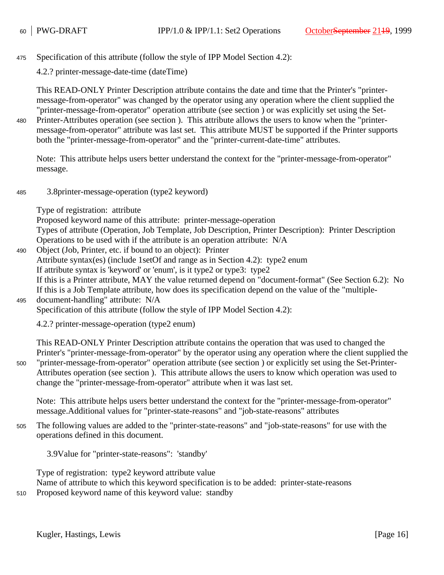Specification of this attribute (follow the style of IPP Model Section 4.2): 475

4.2.? printer-message-date-time (dateTime)

This READ-ONLY Printer Description attribute contains the date and time that the Printer's "printermessage-from-operator" was changed by the operator using any operation where the client supplied the "printer-message-from-operator" operation attribute (see section ) or was explicitly set using the Set-

Printer-Attributes operation (see section ). This attribute allows the users to know when the "printermessage-from-operator" attribute was last set. This attribute MUST be supported if the Printer supports both the "printer-message-from-operator" and the "printer-current-date-time" attributes. 480

Note: This attribute helps users better understand the context for the "printer-message-from-operator" message.

3.8printer-message-operation (type2 keyword) 485

Type of registration: attribute

Proposed keyword name of this attribute: printer-message-operation Types of attribute (Operation, Job Template, Job Description, Printer Description): Printer Description Operations to be used with if the attribute is an operation attribute: N/A

Object (Job, Printer, etc. if bound to an object): Printer Attribute syntax(es) (include 1setOf and range as in Section 4.2): type2 enum If attribute syntax is 'keyword' or 'enum', is it type2 or type3: type2 If this is a Printer attribute, MAY the value returned depend on "document-format" (See Section 6.2): No If this is a Job Template attribute, how does its specification depend on the value of the "multipledocument-handling" attribute: N/A 490 495

Specification of this attribute (follow the style of IPP Model Section 4.2):

4.2.? printer-message-operation (type2 enum)

This READ-ONLY Printer Description attribute contains the operation that was used to changed the Printer's "printer-message-from-operator" by the operator using any operation where the client supplied the "printer-message-from-operator" operation attribute (see section ) or explicitly set using the Set-Printer-Attributes operation (see section ). This attribute allows the users to know which operation was used to change the "printer-message-from-operator" attribute when it was last set.

Note: This attribute helps users better understand the context for the "printer-message-from-operator" message.Additional values for "printer-state-reasons" and "job-state-reasons" attributes

The following values are added to the "printer-state-reasons" and "job-state-reasons" for use with the operations defined in this document. 505

3.9Value for "printer-state-reasons": 'standby'

Type of registration: type2 keyword attribute value Name of attribute to which this keyword specification is to be added: printer-state-reasons Proposed keyword name of this keyword value: standby

510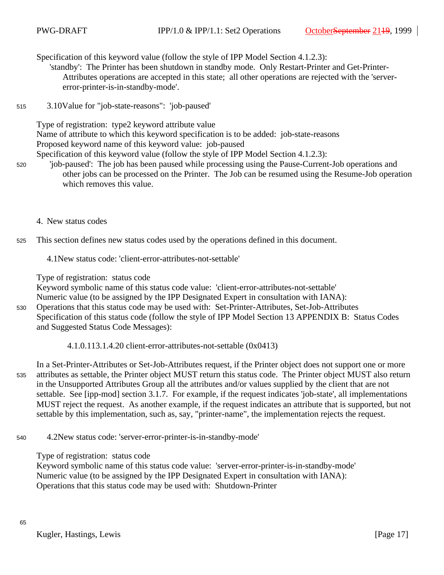Specification of this keyword value (follow the style of IPP Model Section 4.1.2.3):

'standby': The Printer has been shutdown in standby mode. Only Restart-Printer and Get-Printer-Attributes operations are accepted in this state; all other operations are rejected with the 'servererror-printer-is-in-standby-mode'.

3.10Value for "job-state-reasons": 'job-paused' 515

Type of registration: type2 keyword attribute value

Name of attribute to which this keyword specification is to be added: job-state-reasons Proposed keyword name of this keyword value: job-paused

Specification of this keyword value (follow the style of IPP Model Section 4.1.2.3):

- 'job-paused': The job has been paused while processing using the Pause-Current-Job operations and other jobs can be processed on the Printer. The Job can be resumed using the Resume-Job operation which removes this value.
	- 4. New status codes

520

- This section defines new status codes used by the operations defined in this document. 525
	- 4.1New status code: 'client-error-attributes-not-settable'

Type of registration: status code

Keyword symbolic name of this status code value: 'client-error-attributes-not-settable'

Numeric value (to be assigned by the IPP Designated Expert in consultation with IANA):

- Operations that this status code may be used with: Set-Printer-Attributes, Set-Job-Attributes Specification of this status code (follow the style of IPP Model Section 13 APPENDIX B: Status Codes and Suggested Status Code Messages): 530
	- 4.1.0.113.1.4.20 client-error-attributes-not-settable (0x0413)

In a Set-Printer-Attributes or Set-Job-Attributes request, if the Printer object does not support one or more attributes as settable, the Printer object MUST return this status code. The Printer object MUST also return in the Unsupported Attributes Group all the attributes and/or values supplied by the client that are not settable. See [ipp-mod] section 3.1.7. For example, if the request indicates 'job-state', all implementations MUST reject the request. As another example, if the request indicates an attribute that is supported, but not settable by this implementation, such as, say, "printer-name", the implementation rejects the request. 535

4.2New status code: 'server-error-printer-is-in-standby-mode' 540

Type of registration: status code

Keyword symbolic name of this status code value: 'server-error-printer-is-in-standby-mode' Numeric value (to be assigned by the IPP Designated Expert in consultation with IANA): Operations that this status code may be used with: Shutdown-Printer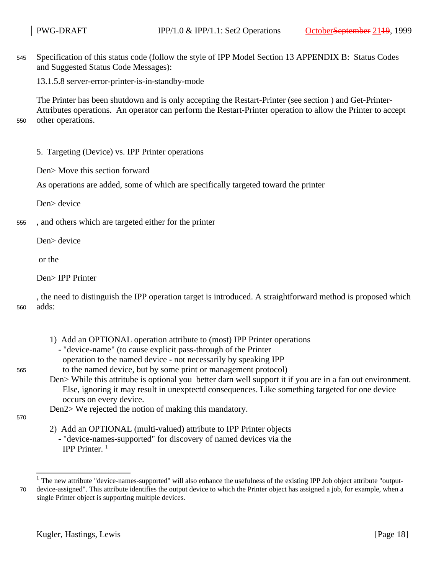Specification of this status code (follow the style of IPP Model Section 13 APPENDIX B: Status Codes and Suggested Status Code Messages): 545

13.1.5.8 server-error-printer-is-in-standby-mode

The Printer has been shutdown and is only accepting the Restart-Printer (see section ) and Get-Printer-Attributes operations. An operator can perform the Restart-Printer operation to allow the Printer to accept other operations.

550

- 5. Targeting (Device) vs. IPP Printer operations
- Den> Move this section forward

As operations are added, some of which are specifically targeted toward the printer

Den> device

, and others which are targeted either for the printer 555

Den> device

or the

Den> IPP Printer

, the need to distinguish the IPP operation target is introduced. A straightforward method is proposed which adds: 560

- 1) Add an OPTIONAL operation attribute to (most) IPP Printer operations
	- "device-name" (to cause explicit pass-through of the Printer
	- operation to the named device not necessarily by speaking IPP
- to the named device, but by some print or management protocol)
- Den> While this attritube is optional you better darn well support it if you are in a fan out environment. Else, ignoring it may result in unexptectd consequences. Like something targeted for one device occurs on every device.

Den2> We rejected the notion of making this mandatory.

570

- 2) Add an OPTIONAL (multi-valued) attribute to IPP Printer objects
	- "device-names-supported" for discovery of named devices via the IPP Printer. <sup>1</sup>

 $<sup>1</sup>$  The new attribute "device-names-supported" will also enhance the usefulness of the existing IPP Job object attribute "output-</sup> device-assigned". This attribute identifies the output device to which the Printer object has assigned a job, for example, when a single Printer object is supporting multiple devices. 70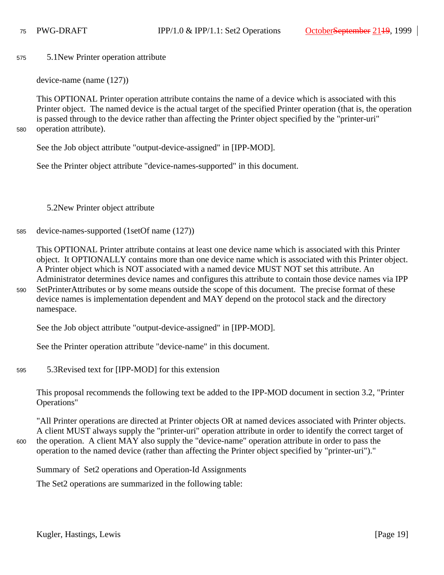5.1New Printer operation attribute 575

device-name (name (127))

This OPTIONAL Printer operation attribute contains the name of a device which is associated with this Printer object. The named device is the actual target of the specified Printer operation (that is, the operation is passed through to the device rather than affecting the Printer object specified by the "printer-uri" operation attribute).

580

590

600

See the Job object attribute "output-device-assigned" in [IPP-MOD].

See the Printer object attribute "device-names-supported" in this document.

5.2New Printer object attribute

device-names-supported (1setOf name (127)) 585

This OPTIONAL Printer attribute contains at least one device name which is associated with this Printer object. It OPTIONALLY contains more than one device name which is associated with this Printer object. A Printer object which is NOT associated with a named device MUST NOT set this attribute. An Administrator determines device names and configures this attribute to contain those device names via IPP SetPrinterAttributes or by some means outside the scope of this document. The precise format of these device names is implementation dependent and MAY depend on the protocol stack and the directory namespace.

See the Job object attribute "output-device-assigned" in [IPP-MOD].

See the Printer operation attribute "device-name" in this document.

5.3Revised text for [IPP-MOD] for this extension 595

This proposal recommends the following text be added to the IPP-MOD document in section 3.2, "Printer Operations"

"All Printer operations are directed at Printer objects OR at named devices associated with Printer objects. A client MUST always supply the "printer-uri" operation attribute in order to identify the correct target of the operation. A client MAY also supply the "device-name" operation attribute in order to pass the operation to the named device (rather than affecting the Printer object specified by "printer-uri")."

Summary of Set2 operations and Operation-Id Assignments

The Set2 operations are summarized in the following table: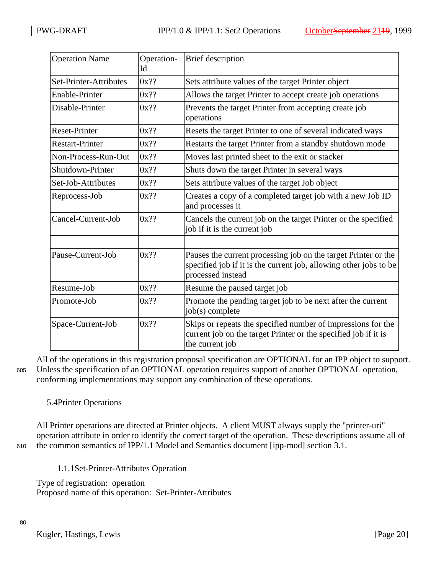| <b>Operation Name</b>  | Operation-<br>Id | Brief description                                                                                                                                        |
|------------------------|------------------|----------------------------------------------------------------------------------------------------------------------------------------------------------|
| Set-Printer-Attributes | $0x$ ??          | Sets attribute values of the target Printer object                                                                                                       |
| <b>Enable-Printer</b>  | $0x$ ??          | Allows the target Printer to accept create job operations                                                                                                |
| Disable-Printer        | $0x$ ??          | Prevents the target Printer from accepting create job<br>operations                                                                                      |
| <b>Reset-Printer</b>   | $0x$ ??          | Resets the target Printer to one of several indicated ways                                                                                               |
| <b>Restart-Printer</b> | $0x$ ??          | Restarts the target Printer from a standby shutdown mode                                                                                                 |
| Non-Process-Run-Out    | $0x$ ??          | Moves last printed sheet to the exit or stacker                                                                                                          |
| Shutdown-Printer       | $0x$ ??          | Shuts down the target Printer in several ways                                                                                                            |
| Set-Job-Attributes     | $0x$ ??          | Sets attribute values of the target Job object                                                                                                           |
| Reprocess-Job          | $0x$ ??          | Creates a copy of a completed target job with a new Job ID<br>and processes it                                                                           |
| Cancel-Current-Job     | $0x$ ??          | Cancels the current job on the target Printer or the specified<br>job if it is the current job                                                           |
|                        |                  |                                                                                                                                                          |
| Pause-Current-Job      | $0x$ ??          | Pauses the current processing job on the target Printer or the<br>specified job if it is the current job, allowing other jobs to be<br>processed instead |
| Resume-Job             | $0x$ ??          | Resume the paused target job                                                                                                                             |
| Promote-Job            | $0x$ ??          | Promote the pending target job to be next after the current<br>job(s) complete                                                                           |
| Space-Current-Job      | $0x$ ??          | Skips or repeats the specified number of impressions for the<br>current job on the target Printer or the specified job if it is<br>the current job       |

All of the operations in this registration proposal specification are OPTIONAL for an IPP object to support. Unless the specification of an OPTIONAL operation requires support of another OPTIONAL operation, conforming implementations may support any combination of these operations. 605

## 5.4Printer Operations

All Printer operations are directed at Printer objects. A client MUST always supply the "printer-uri" operation attribute in order to identify the correct target of the operation. These descriptions assume all of the common semantics of IPP/1.1 Model and Semantics document [ipp-mod] section 3.1.

610

1.1.1Set-Printer-Attributes Operation

Type of registration: operation Proposed name of this operation: Set-Printer-Attributes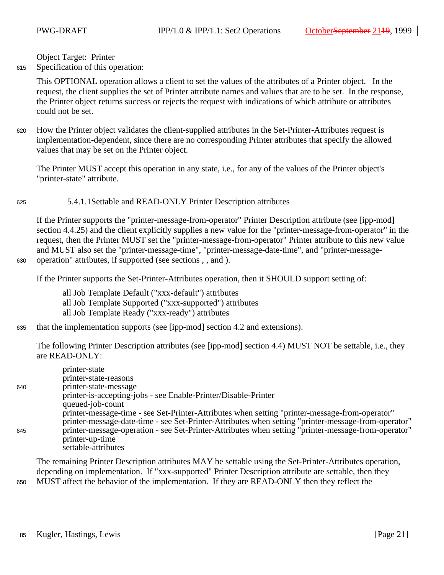630

650

Object Target: Printer

Specification of this operation: 615

> This OPTIONAL operation allows a client to set the values of the attributes of a Printer object. In the request, the client supplies the set of Printer attribute names and values that are to be set. In the response, the Printer object returns success or rejects the request with indications of which attribute or attributes could not be set.

How the Printer object validates the client-supplied attributes in the Set-Printer-Attributes request is implementation-dependent, since there are no corresponding Printer attributes that specify the allowed values that may be set on the Printer object. 620

The Printer MUST accept this operation in any state, i.e., for any of the values of the Printer object's "printer-state" attribute.

5.4.1.1Settable and READ-ONLY Printer Description attributes 625

If the Printer supports the "printer-message-from-operator" Printer Description attribute (see [ipp-mod] section 4.4.25) and the client explicitly supplies a new value for the "printer-message-from-operator" in the request, then the Printer MUST set the "printer-message-from-operator" Printer attribute to this new value and MUST also set the "printer-message-time", "printer-message-date-time", and "printer-messageoperation" attributes, if supported (see sections , , and ).

If the Printer supports the Set-Printer-Attributes operation, then it SHOULD support setting of:

all Job Template Default ("xxx-default") attributes all Job Template Supported ("xxx-supported") attributes all Job Template Ready ("xxx-ready") attributes

that the implementation supports (see [ipp-mod] section 4.2 and extensions). 635

The following Printer Description attributes (see [ipp-mod] section 4.4) MUST NOT be settable, i.e., they are READ-ONLY:

|     | printer-state                                                                                       |
|-----|-----------------------------------------------------------------------------------------------------|
|     | printer-state-reasons                                                                               |
| 640 | printer-state-message                                                                               |
|     | printer-is-accepting-jobs - see Enable-Printer/Disable-Printer                                      |
|     | queued-job-count                                                                                    |
|     | printer-message-time - see Set-Printer-Attributes when setting "printer-message-from-operator"      |
|     | printer-message-date-time - see Set-Printer-Attributes when setting "printer-message-from-operator" |
| 645 | printer-message-operation - see Set-Printer-Attributes when setting "printer-message-from-operator" |
|     | printer-up-time                                                                                     |
|     | settable-attributes                                                                                 |

The remaining Printer Description attributes MAY be settable using the Set-Printer-Attributes operation, depending on implementation. If "xxx-supported" Printer Description attribute are settable, then they MUST affect the behavior of the implementation. If they are READ-ONLY then they reflect the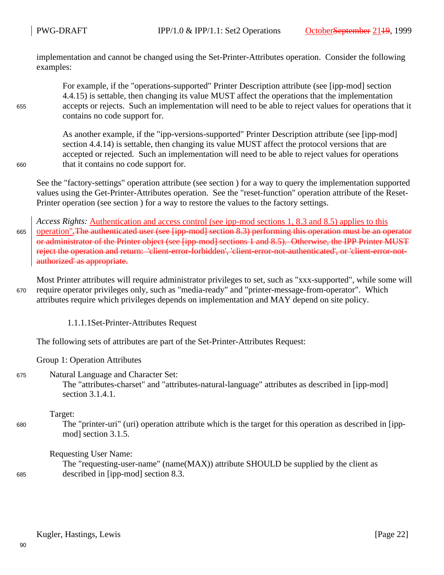implementation and cannot be changed using the Set-Printer-Attributes operation. Consider the following examples:

For example, if the "operations-supported" Printer Description attribute (see [ipp-mod] section 4.4.15) is settable, then changing its value MUST affect the operations that the implementation accepts or rejects. Such an implementation will need to be able to reject values for operations that it contains no code support for.

As another example, if the "ipp-versions-supported" Printer Description attribute (see [ipp-mod] section 4.4.14) is settable, then changing its value MUST affect the protocol versions that are accepted or rejected. Such an implementation will need to be able to reject values for operations that it contains no code support for.

660

655

See the "factory-settings" operation attribute (see section ) for a way to query the implementation supported values using the Get-Printer-Attributes operation. See the "reset-function" operation attribute of the Reset-Printer operation (see section ) for a way to restore the values to the factory settings.

*Access Rights:* Authentication and access control (see ipp-mod sections 1, 8.3 and 8.5) applies to this operation"*.*The authenticated user (see [ipp-mod] section 8.3) performing this operation must be an operator or administrator of the Printer object (see [ipp-mod] sections 1 and 8.5). Otherwise, the IPP Printer MUST reject the operation and return: 'client-error-forbidden', 'client-error-not-authenticated', or 'client-error-notauthorized' as appropriate. 665

Most Printer attributes will require administrator privileges to set, such as "xxx-supported", while some will require operator privileges only, such as "media-ready" and "printer-message-from-operator". Which attributes require which privileges depends on implementation and MAY depend on site policy. 670

1.1.1.1Set-Printer-Attributes Request

The following sets of attributes are part of the Set-Printer-Attributes Request:

Group 1: Operation Attributes

Natural Language and Character Set: The "attributes-charset" and "attributes-natural-language" attributes as described in [ipp-mod] section 3.1.4.1. 675

Target:

The "printer-uri" (uri) operation attribute which is the target for this operation as described in [ippmod] section 3.1.5.

Requesting User Name:

The "requesting-user-name" (name(MAX)) attribute SHOULD be supplied by the client as described in [ipp-mod] section 8.3. 685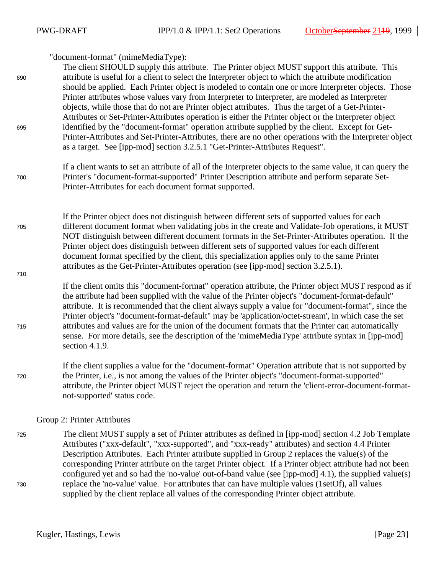| 690 | "document-format" (mimeMediaType):<br>The client SHOULD supply this attribute. The Printer object MUST support this attribute. This<br>attribute is useful for a client to select the Interpreter object to which the attribute modification<br>should be applied. Each Printer object is modeled to contain one or more Interpreter objects. Those<br>Printer attributes whose values vary from Interpreter to Interpreter, are modeled as Interpreter<br>objects, while those that do not are Printer object attributes. Thus the target of a Get-Printer-<br>Attributes or Set-Printer-Attributes operation is either the Printer object or the Interpreter object |
|-----|-----------------------------------------------------------------------------------------------------------------------------------------------------------------------------------------------------------------------------------------------------------------------------------------------------------------------------------------------------------------------------------------------------------------------------------------------------------------------------------------------------------------------------------------------------------------------------------------------------------------------------------------------------------------------|
| 695 | identified by the "document-format" operation attribute supplied by the client. Except for Get-<br>Printer-Attributes and Set-Printer-Attributes, there are no other operations with the Interpreter object<br>as a target. See [ipp-mod] section 3.2.5.1 "Get-Printer-Attributes Request".                                                                                                                                                                                                                                                                                                                                                                           |
| 700 | If a client wants to set an attribute of all of the Interpreter objects to the same value, it can query the<br>Printer's "document-format-supported" Printer Description attribute and perform separate Set-<br>Printer-Attributes for each document format supported.                                                                                                                                                                                                                                                                                                                                                                                                |
| 705 | If the Printer object does not distinguish between different sets of supported values for each<br>different document format when validating jobs in the create and Validate-Job operations, it MUST<br>NOT distinguish between different document formats in the Set-Printer-Attributes operation. If the<br>Printer object does distinguish between different sets of supported values for each different<br>document format specified by the client, this specialization applies only to the same Printer<br>attributes as the Get-Printer-Attributes operation (see [ipp-mod] section 3.2.5.1).                                                                    |
| 710 | If the client omits this "document-format" operation attribute, the Printer object MUST respond as if                                                                                                                                                                                                                                                                                                                                                                                                                                                                                                                                                                 |
| 715 | the attribute had been supplied with the value of the Printer object's "document-format-default"<br>attribute. It is recommended that the client always supply a value for "document-format", since the<br>Printer object's "document-format-default" may be 'application/octet-stream', in which case the set<br>attributes and values are for the union of the document formats that the Printer can automatically<br>sense. For more details, see the description of the 'mimeMediaType' attribute syntax in [ipp-mod]<br>section 4.1.9.                                                                                                                           |
| 720 | If the client supplies a value for the "document-format" Operation attribute that is not supported by<br>the Printer, <i>i.e.</i> , is not among the values of the Printer object's "document-format-supported"<br>attribute, the Printer object MUST reject the operation and return the 'client-error-document-format-<br>not-supported' status code.                                                                                                                                                                                                                                                                                                               |
|     | Group 2: Printer Attributes                                                                                                                                                                                                                                                                                                                                                                                                                                                                                                                                                                                                                                           |
| 725 | The client MUST supply a set of Printer attributes as defined in [ipp-mod] section 4.2 Job Template<br>Attributes ("xxx-default", "xxx-supported", and "xxx-ready" attributes) and section 4.4 Printer<br>Description Attributes. Each Printer attribute supplied in Group 2 replaces the value(s) of the<br>corresponding Printer attribute on the target Printer object. If a Printer object attribute had not been<br>configured yet and so had the 'no-value' out-of-band value (see [ipp-mod] 4.1), the supplied value(s)                                                                                                                                        |
| 730 | replace the 'no-value' value. For attributes that can have multiple values (1setOf), all values                                                                                                                                                                                                                                                                                                                                                                                                                                                                                                                                                                       |

supplied by the client replace all values of the corresponding Printer object attribute.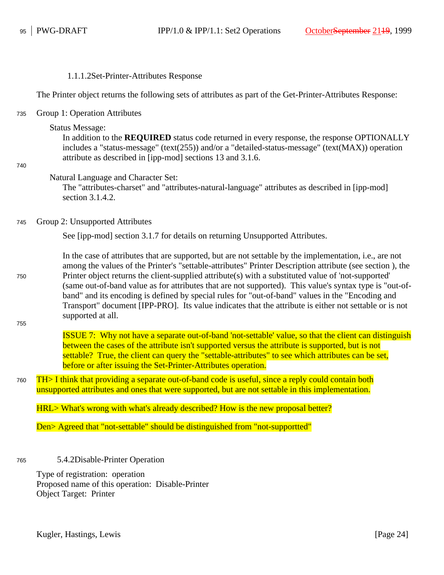| 1.1.1.2Set-Printer-Attributes Response |  |
|----------------------------------------|--|
|----------------------------------------|--|

The Printer object returns the following sets of attributes as part of the Get-Printer-Attributes Response:

Group 1: Operation Attributes 735

Status Message:

In addition to the **REQUIRED** status code returned in every response, the response OPTIONALLY includes a "status-message" (text(255)) and/or a "detailed-status-message" (text(MAX)) operation attribute as described in [ipp-mod] sections 13 and 3.1.6.

740

Natural Language and Character Set:

The "attributes-charset" and "attributes-natural-language" attributes as described in [ipp-mod] section 3.1.4.2.

Group 2: Unsupported Attributes 745

See [ipp-mod] section 3.1.7 for details on returning Unsupported Attributes.

In the case of attributes that are supported, but are not settable by the implementation, i.e., are not among the values of the Printer's "settable-attributes" Printer Description attribute (see section ), the Printer object returns the client-supplied attribute(s) with a substituted value of 'not-supported' (same out-of-band value as for attributes that are not supported). This value's syntax type is "out-ofband" and its encoding is defined by special rules for "out-of-band" values in the "Encoding and Transport" document [IPP-PRO]. Its value indicates that the attribute is either not settable or is not supported at all. 750

755

ISSUE 7: Why not have a separate out-of-band 'not-settable' value, so that the client can distinguish between the cases of the attribute isn't supported versus the attribute is supported, but is not settable? True, the client can query the "settable-attributes" to see which attributes can be set, before or after issuing the Set-Printer-Attributes operation.

TH> I think that providing a separate out-of-band code is useful, since a reply could contain both unsupported attributes and ones that were supported, but are not settable in this implementation. 760

HRL> What's wrong with what's already described? How is the new proposal better?

Den> Agreed that "not-settable" should be distinguished from "not-supportted"

5.4.2Disable-Printer Operation 765

> Type of registration: operation Proposed name of this operation: Disable-Printer Object Target: Printer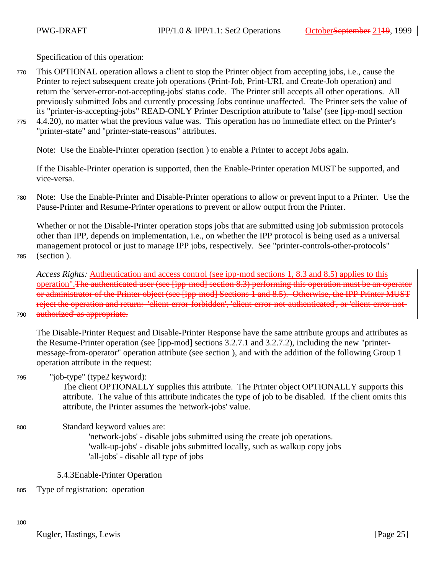Specification of this operation:

- This OPTIONAL operation allows a client to stop the Printer object from accepting jobs, i.e., cause the Printer to reject subsequent create job operations (Print-Job, Print-URI, and Create-Job operation) and return the 'server-error-not-accepting-jobs' status code. The Printer still accepts all other operations. All previously submitted Jobs and currently processing Jobs continue unaffected. The Printer sets the value of its "printer-is-accepting-jobs" READ-ONLY Printer Description attribute to 'false' (see [ipp-mod] section 770
- 4.4.20), no matter what the previous value was. This operation has no immediate effect on the Printer's "printer-state" and "printer-state-reasons" attributes. 775

Note: Use the Enable-Printer operation (section ) to enable a Printer to accept Jobs again.

If the Disable-Printer operation is supported, then the Enable-Printer operation MUST be supported, and vice-versa.

Note: Use the Enable-Printer and Disable-Printer operations to allow or prevent input to a Printer. Use the Pause-Printer and Resume-Printer operations to prevent or allow output from the Printer. 780

Whether or not the Disable-Printer operation stops jobs that are submitted using job submission protocols other than IPP, depends on implementation, i.e., on whether the IPP protocol is being used as a universal management protocol or just to manage IPP jobs, respectively. See "printer-controls-other-protocols" (section ).

785

790

*Access Rights:* Authentication and access control (see ipp-mod sections 1, 8.3 and 8.5) applies to this operation".The authenticated user (see [ipp-mod] section 8.3) performing this operation must be an operator or administrator of the Printer object (see [ipp-mod] Sections 1 and 8.5). Otherwise, the IPP Printer MUST reject the operation and return: 'client-error-forbidden', 'client-error-not-authenticated', or 'client-error-notauthorized' as appropriate.

The Disable-Printer Request and Disable-Printer Response have the same attribute groups and attributes as the Resume-Printer operation (see [ipp-mod] sections 3.2.7.1 and 3.2.7.2), including the new "printermessage-from-operator" operation attribute (see section ), and with the addition of the following Group 1 operation attribute in the request:

"job-type" (type2 keyword): 795

> The client OPTIONALLY supplies this attribute. The Printer object OPTIONALLY supports this attribute. The value of this attribute indicates the type of job to be disabled. If the client omits this attribute, the Printer assumes the 'network-jobs' value.

Standard keyword values are: 800

'network-jobs' - disable jobs submitted using the create job operations. 'walk-up-jobs' - disable jobs submitted locally, such as walkup copy jobs 'all-jobs' - disable all type of jobs

5.4.3Enable-Printer Operation

Type of registration: operation 805

100

Kugler, Hastings, Lewis [Page 25]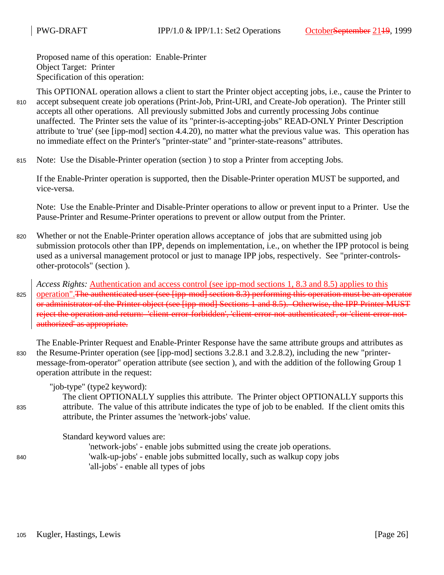Proposed name of this operation: Enable-Printer Object Target: Printer Specification of this operation:

This OPTIONAL operation allows a client to start the Printer object accepting jobs, i.e., cause the Printer to accept subsequent create job operations (Print-Job, Print-URI, and Create-Job operation). The Printer still accepts all other operations. All previously submitted Jobs and currently processing Jobs continue unaffected. The Printer sets the value of its "printer-is-accepting-jobs" READ-ONLY Printer Description attribute to 'true' (see [ipp-mod] section 4.4.20), no matter what the previous value was. This operation has no immediate effect on the Printer's "printer-state" and "printer-state-reasons" attributes. 810

Note: Use the Disable-Printer operation (section ) to stop a Printer from accepting Jobs. 815

If the Enable-Printer operation is supported, then the Disable-Printer operation MUST be supported, and vice-versa.

Note: Use the Enable-Printer and Disable-Printer operations to allow or prevent input to a Printer. Use the Pause-Printer and Resume-Printer operations to prevent or allow output from the Printer.

Whether or not the Enable-Printer operation allows acceptance of jobs that are submitted using job submission protocols other than IPP, depends on implementation, i.e., on whether the IPP protocol is being used as a universal management protocol or just to manage IPP jobs, respectively. See "printer-controlsother-protocols" (section ). 820

*Access Rights:* Authentication and access control (see ipp-mod sections 1, 8.3 and 8.5) applies to this operation".The authenticated user (see [ipp-mod] section 8.3) performing this operation must be an operator or administrator of the Printer object (see [ipp-mod] Sections 1 and 8.5). Otherwise, the IPP Printer MUST reject the operation and return: 'client-error-forbidden', 'client-error-not-authenticated', or 'client-error-notauthorized' as appropriate. 825

The Enable-Printer Request and Enable-Printer Response have the same attribute groups and attributes as the Resume-Printer operation (see [ipp-mod] sections 3.2.8.1 and 3.2.8.2), including the new "printermessage-from-operator" operation attribute (see section ), and with the addition of the following Group 1 operation attribute in the request: 830

"job-type" (type2 keyword):

The client OPTIONALLY supplies this attribute. The Printer object OPTIONALLY supports this attribute. The value of this attribute indicates the type of job to be enabled. If the client omits this attribute, the Printer assumes the 'network-jobs' value.

Standard keyword values are:

'network-jobs' - enable jobs submitted using the create job operations. 'walk-up-jobs' - enable jobs submitted locally, such as walkup copy jobs 'all-jobs' - enable all types of jobs

835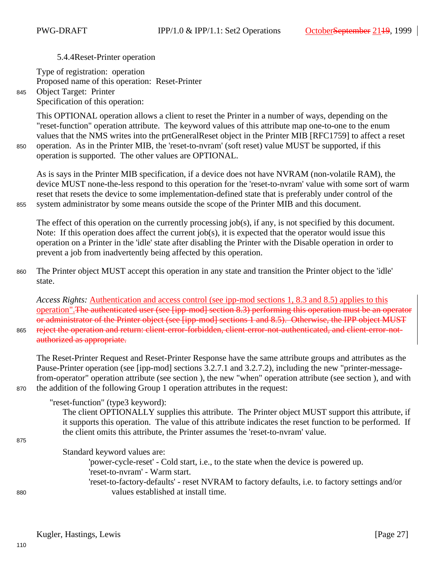5.4.4Reset-Printer operation

Type of registration: operation Proposed name of this operation: Reset-Printer Object Target: Printer Specification of this operation:

This OPTIONAL operation allows a client to reset the Printer in a number of ways, depending on the "reset-function" operation attribute. The keyword values of this attribute map one-to-one to the enum values that the NMS writes into the prtGeneralReset object in the Printer MIB [RFC1759] to affect a reset operation. As in the Printer MIB, the 'reset-to-nvram' (soft reset) value MUST be supported, if this operation is supported. The other values are OPTIONAL.

As is says in the Printer MIB specification, if a device does not have NVRAM (non-volatile RAM), the device MUST none-the-less respond to this operation for the 'reset-to-nvram' value with some sort of warm reset that resets the device to some implementation-defined state that is preferably under control of the system administrator by some means outside the scope of the Printer MIB and this document.

The effect of this operation on the currently processing job(s), if any, is not specified by this document. Note: If this operation does affect the current job(s), it is expected that the operator would issue this operation on a Printer in the 'idle' state after disabling the Printer with the Disable operation in order to prevent a job from inadvertently being affected by this operation.

The Printer object MUST accept this operation in any state and transition the Printer object to the 'idle' state. 860

*Access Rights:* Authentication and access control (see ipp-mod sections 1, 8.3 and 8.5) applies to this operation".The authenticated user (see [ipp-mod] section 8.3) performing this operation must be an operator or administrator of the Printer object (see [ipp-mod] sections 1 and 8.5). Otherwise, the IPP object MUST reject the operation and return: client-error-forbidden, client-error-not-authenticated, and client-error-notauthorized as appropriate. 865

The Reset-Printer Request and Reset-Printer Response have the same attribute groups and attributes as the Pause-Printer operation (see [ipp-mod] sections 3.2.7.1 and 3.2.7.2), including the new "printer-messagefrom-operator" operation attribute (see section ), the new "when" operation attribute (see section ), and with the addition of the following Group 1 operation attributes in the request:

"reset-function" (type3 keyword): The client OPTIONALLY supplies this attribute. The Printer object MUST support this attribute, if it supports this operation. The value of this attribute indicates the reset function to be performed. If the client omits this attribute, the Printer assumes the 'reset-to-nvram' value.

## Standard keyword values are:

'power-cycle-reset' - Cold start, i.e., to the state when the device is powered up. 'reset-to-nvram' - Warm start. 'reset-to-factory-defaults' - reset NVRAM to factory defaults, i.e. to factory settings and/or values established at install time.

855

845

870

875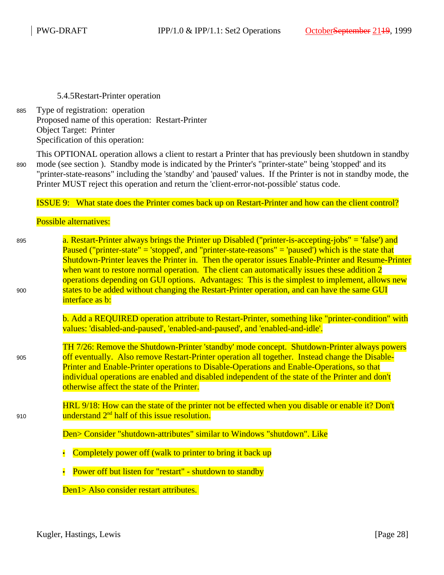5.4.5Restart-Printer operation

Type of registration: operation Proposed name of this operation: Restart-Printer Object Target: Printer Specification of this operation: 885

This OPTIONAL operation allows a client to restart a Printer that has previously been shutdown in standby mode (see section ). Standby mode is indicated by the Printer's "printer-state" being 'stopped' and its "printer-state-reasons" including the 'standby' and 'paused' values. If the Printer is not in standby mode, the Printer MUST reject this operation and return the 'client-error-not-possible' status code. 890

ISSUE 9: What state does the Printer comes back up on Restart-Printer and how can the client control?

Possible alternatives:

905

910

a. Restart-Printer always brings the Printer up Disabled ("printer-is-accepting-jobs" = 'false') and Paused ("printer-state" = 'stopped', and "printer-state-reasons" = 'paused') which is the state that Shutdown-Printer leaves the Printer in. Then the operator issues Enable-Printer and Resume-Printer when want to restore normal operation. The client can automatically issues these addition 2 operations depending on GUI options. Advantages: This is the simplest to implement, allows new states to be added without changing the Restart-Printer operation, and can have the same GUI interface as b: 895  $900$ 

> b. Add a REQUIRED operation attribute to Restart-Printer, something like "printer-condition" with values: 'disabled-and-paused', 'enabled-and-paused', and 'enabled-and-idle'.

TH 7/26: Remove the Shutdown-Printer 'standby' mode concept. Shutdown-Printer always powers off eventually. Also remove Restart-Printer operation all together. Instead change the Disable-Printer and Enable-Printer operations to Disable-Operations and Enable-Operations, so that individual operations are enabled and disabled independent of the state of the Printer and don't otherwise affect the state of the Printer.

HRL 9/18: How can the state of the printer not be effected when you disable or enable it? Don't understand 2<sup>nd</sup> half of this issue resolution.

Den> Consider "shutdown-attributes" similar to Windows "shutdown". Like

- Completely power off (walk to printer to bring it back up
- Power off but listen for "restart" shutdown to standby

Den1> Also consider restart attributes.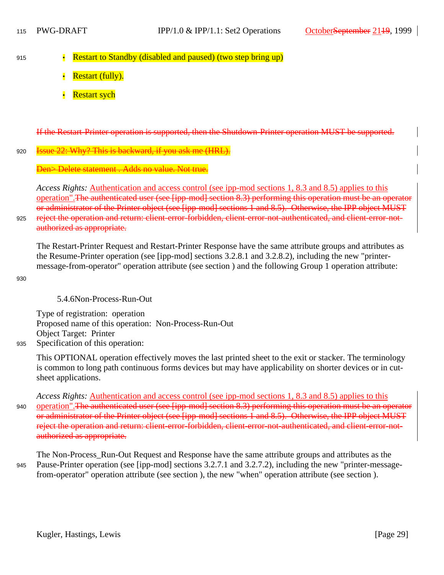- Restart to Standby (disabled and paused) (two step bring up) 915
	- Restart (fully).
	- **Restart sych**

If the Restart-Printer operation is supported, then the Shutdown-Printer operation MUST be supported.

#### 22: Why? This is backward, if you ask me (HRL). 920

Delete statement . Adds no value. Not true.

*Access Rights:* Authentication and access control (see ipp-mod sections 1, 8.3 and 8.5) applies to this operation".The authenticated user (see [ipp-mod] section 8.3) performing this operation must be an operator or administrator of the Printer object (see [ipp-mod] sections 1 and 8.5). Otherwise, the IPP object MUST reject the operation and return: client-error-forbidden, client-error-not-authenticated, and client-error-notauthorized as appropriate.

The Restart-Printer Request and Restart-Printer Response have the same attribute groups and attributes as the Resume-Printer operation (see [ipp-mod] sections 3.2.8.1 and 3.2.8.2), including the new "printermessage-from-operator" operation attribute (see section ) and the following Group 1 operation attribute:

930

935

925

5.4.6Non-Process-Run-Out

Type of registration: operation Proposed name of this operation: Non-Process-Run-Out Object Target: Printer Specification of this operation:

This OPTIONAL operation effectively moves the last printed sheet to the exit or stacker. The terminology is common to long path continuous forms devices but may have applicability on shorter devices or in cutsheet applications.

*Access Rights:* Authentication and access control (see ipp-mod sections 1, 8.3 and 8.5) applies to this operation".The authenticated user (see [ipp-mod] section 8.3) performing this operation must be an operator or administrator of the Printer object (see [ipp-mod] sections 1 and 8.5). Otherwise, the IPP object MUST reject the operation and return: client-error-forbidden, client-error-not-authenticated, and client-error-notauthorized as appropriate. 940

The Non-Process\_Run-Out Request and Response have the same attribute groups and attributes as the Pause-Printer operation (see [ipp-mod] sections 3.2.7.1 and 3.2.7.2), including the new "printer-messagefrom-operator" operation attribute (see section ), the new "when" operation attribute (see section ). 945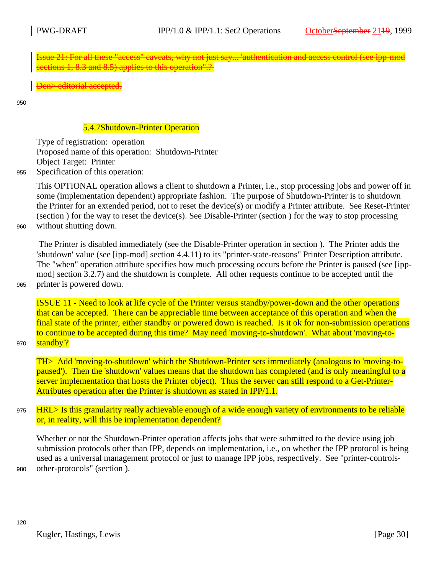Isue 21: For all these "access" caveats, why not just say... 'authentication and access control (see ipp-mod ections 1, 8.3 and 8.5) applies to this operation".?

Den> editorial accepted.

950

960

## 5.4.7Shutdown-Printer Operation

Type of registration: operation Proposed name of this operation: Shutdown-Printer Object Target: Printer

Specification of this operation: 955

> This OPTIONAL operation allows a client to shutdown a Printer, i.e., stop processing jobs and power off in some (implementation dependent) appropriate fashion. The purpose of Shutdown-Printer is to shutdown the Printer for an extended period, not to reset the device(s) or modify a Printer attribute. See Reset-Printer (section ) for the way to reset the device(s). See Disable-Printer (section ) for the way to stop processing without shutting down.

> The Printer is disabled immediately (see the Disable-Printer operation in section ). The Printer adds the 'shutdown' value (see [ipp-mod] section 4.4.11) to its "printer-state-reasons" Printer Description attribute. The "when" operation attribute specifies how much processing occurs before the Printer is paused (see [ippmod] section 3.2.7) and the shutdown is complete. All other requests continue to be accepted until the printer is powered down.

965

ISSUE 11 - Need to look at life cycle of the Printer versus standby/power-down and the other operations that can be accepted. There can be appreciable time between acceptance of this operation and when the final state of the printer, either standby or powered down is reached. Is it ok for non-submission operations to continue to be accepted during this time? May need 'moving-to-shutdown'. What about 'moving-tostandby'?

970

TH> Add 'moving-to-shutdown' which the Shutdown-Printer sets immediately (analogous to 'moving-topaused'). Then the 'shutdown' values means that the shutdown has completed (and is only meaningful to a server implementation that hosts the Printer object). Thus the server can still respond to a Get-Printer-Attributes operation after the Printer is shutdown as stated in IPP/1.1.

HRL> Is this granularity really achievable enough of a wide enough variety of environments to be reliable or, in reality, will this be implementation dependent? 975

Whether or not the Shutdown-Printer operation affects jobs that were submitted to the device using job submission protocols other than IPP, depends on implementation, i.e., on whether the IPP protocol is being used as a universal management protocol or just to manage IPP jobs, respectively. See "printer-controlsother-protocols" (section ).

980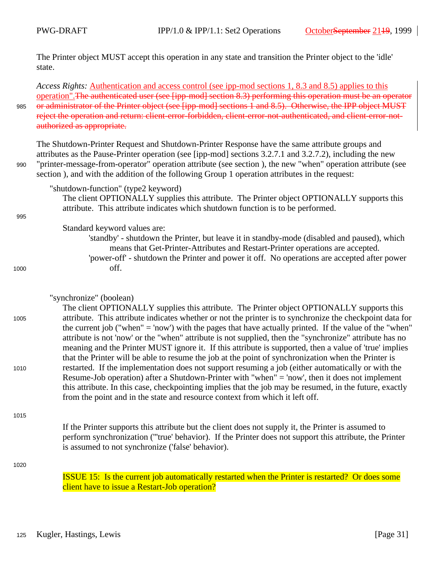The Printer object MUST accept this operation in any state and transition the Printer object to the 'idle' state.

*Access Rights:* Authentication and access control (see ipp-mod sections 1, 8.3 and 8.5) applies to this operation".The authenticated user (see [ipp-mod] section 8.3) performing this operation must be an operator or administrator of the Printer object (see [ipp-mod] sections 1 and 8.5). Otherwise, the IPP object MUST reject the operation and return: client-error-forbidden, client-error-not-authenticated, and client-error-notauthorized as appropriate.

The Shutdown-Printer Request and Shutdown-Printer Response have the same attribute groups and attributes as the Pause-Printer operation (see [ipp-mod] sections 3.2.7.1 and 3.2.7.2), including the new "printer-message-from-operator" operation attribute (see section ), the new "when" operation attribute (see section ), and with the addition of the following Group 1 operation attributes in the request:

"shutdown-function" (type2 keyword)

The client OPTIONALLY supplies this attribute. The Printer object OPTIONALLY supports this attribute. This attribute indicates which shutdown function is to be performed.

### 995

1000

1005

990

985

Standard keyword values are:

'standby' - shutdown the Printer, but leave it in standby-mode (disabled and paused), which means that Get-Printer-Attributes and Restart-Printer operations are accepted. 'power-off' - shutdown the Printer and power it off. No operations are accepted after power off.

### "synchronize" (boolean)

The client OPTIONALLY supplies this attribute. The Printer object OPTIONALLY supports this attribute. This attribute indicates whether or not the printer is to synchronize the checkpoint data for the current job ("when" = 'now') with the pages that have actually printed. If the value of the "when" attribute is not 'now' or the "when" attribute is not supplied, then the "synchronize" attribute has no meaning and the Printer MUST ignore it. If this attribute is supported, then a value of 'true' implies that the Printer will be able to resume the job at the point of synchronization when the Printer is restarted. If the implementation does not support resuming a job (either automatically or with the Resume-Job operation) after a Shutdown-Printer with "when" = 'now', then it does not implement this attribute. In this case, checkpointing implies that the job may be resumed, in the future, exactly from the point and in the state and resource context from which it left off.

### 1015

1010

If the Printer supports this attribute but the client does not supply it, the Printer is assumed to perform synchronization ('''true' behavior). If the Printer does not support this attribute, the Printer is assumed to not synchronize ('false' behavior).

1020

ISSUE 15: Is the current job automatically restarted when the Printer is restarted? Or does some client have to issue a Restart-Job operation?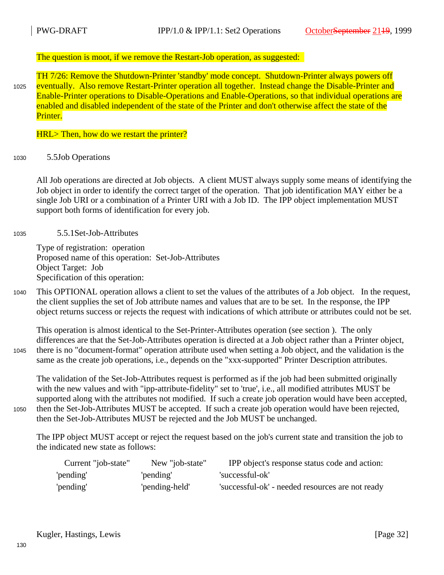### The question is moot, if we remove the Restart-Job operation, as suggested:

TH 7/26: Remove the Shutdown-Printer 'standby' mode concept. Shutdown-Printer always powers off eventually. Also remove Restart-Printer operation all together. Instead change the Disable-Printer and Enable-Printer operations to Disable-Operations and Enable-Operations, so that individual operations are enabled and disabled independent of the state of the Printer and don't otherwise affect the state of the Printer. 1025

### HRL> Then, how do we restart the printer?

5.5Job Operations 1030

> All Job operations are directed at Job objects. A client MUST always supply some means of identifying the Job object in order to identify the correct target of the operation. That job identification MAY either be a single Job URI or a combination of a Printer URI with a Job ID. The IPP object implementation MUST support both forms of identification for every job.

5.5.1Set-Job-Attributes 1035

> Type of registration: operation Proposed name of this operation: Set-Job-Attributes Object Target: Job Specification of this operation:

This OPTIONAL operation allows a client to set the values of the attributes of a Job object. In the request, the client supplies the set of Job attribute names and values that are to be set. In the response, the IPP object returns success or rejects the request with indications of which attribute or attributes could not be set. 1040

This operation is almost identical to the Set-Printer-Attributes operation (see section ). The only differences are that the Set-Job-Attributes operation is directed at a Job object rather than a Printer object, there is no "document-format" operation attribute used when setting a Job object, and the validation is the same as the create job operations, i.e., depends on the "xxx-supported" Printer Description attributes. 1045

The validation of the Set-Job-Attributes request is performed as if the job had been submitted originally with the new values and with "ipp-attribute-fidelity" set to 'true', i.e., all modified attributes MUST be supported along with the attributes not modified. If such a create job operation would have been accepted, then the Set-Job-Attributes MUST be accepted. If such a create job operation would have been rejected, then the Set-Job-Attributes MUST be rejected and the Job MUST be unchanged.

1050

The IPP object MUST accept or reject the request based on the job's current state and transition the job to the indicated new state as follows:

| Current "job-state" | New "job-state" | IPP object's response status code and action:    |
|---------------------|-----------------|--------------------------------------------------|
| 'pending'           | 'pending'       | 'successful-ok'                                  |
| 'pending'           | 'pending-held'  | 'successful-ok' - needed resources are not ready |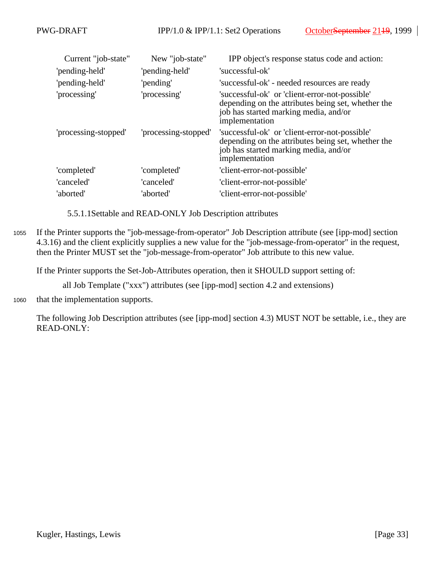| Current "job-state"  | New "job-state"      | IPP object's response status code and action:                                                                                                                   |
|----------------------|----------------------|-----------------------------------------------------------------------------------------------------------------------------------------------------------------|
| 'pending-held'       | 'pending-held'       | 'successful-ok'                                                                                                                                                 |
| 'pending-held'       | 'pending'            | 'successful-ok' - needed resources are ready                                                                                                                    |
| 'processing'         | 'processing'         | 'successful-ok' or 'client-error-not-possible'<br>depending on the attributes being set, whether the<br>job has started marking media, and/or<br>implementation |
| 'processing-stopped' | 'processing-stopped' | 'successful-ok' or 'client-error-not-possible'<br>depending on the attributes being set, whether the<br>job has started marking media, and/or<br>implementation |
| 'completed'          | 'completed'          | 'client-error-not-possible'                                                                                                                                     |
| 'canceled'           | 'canceled'           | 'client-error-not-possible'                                                                                                                                     |
| 'aborted'            | 'aborted'            | 'client-error-not-possible'                                                                                                                                     |

5.5.1.1Settable and READ-ONLY Job Description attributes

If the Printer supports the "job-message-from-operator" Job Description attribute (see [ipp-mod] section 4.3.16) and the client explicitly supplies a new value for the "job-message-from-operator" in the request, then the Printer MUST set the "job-message-from-operator" Job attribute to this new value. 1055

If the Printer supports the Set-Job-Attributes operation, then it SHOULD support setting of:

all Job Template ("xxx") attributes (see [ipp-mod] section 4.2 and extensions)

that the implementation supports. 1060

> The following Job Description attributes (see [ipp-mod] section 4.3) MUST NOT be settable, i.e., they are READ-ONLY: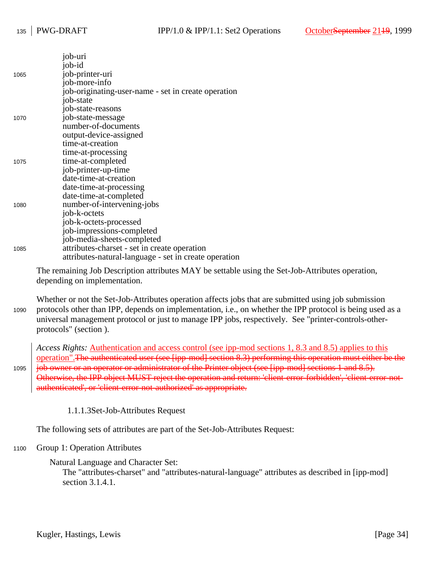|      | job-uri                                               |
|------|-------------------------------------------------------|
|      | job-id                                                |
| 1065 | job-printer-uri                                       |
|      | job-more-info                                         |
|      | job-originating-user-name - set in create operation   |
|      | job-state                                             |
|      | job-state-reasons                                     |
| 1070 | job-state-message                                     |
|      | number-of-documents                                   |
|      | output-device-assigned                                |
|      | time-at-creation                                      |
|      | time-at-processing                                    |
| 1075 | time-at-completed                                     |
|      | job-printer-up-time                                   |
|      | date-time-at-creation                                 |
|      | date-time-at-processing                               |
|      | date-time-at-completed                                |
| 1080 | number-of-intervening-jobs                            |
|      | job-k-octets                                          |
|      | job-k-octets-processed                                |
|      | job-impressions-completed                             |
|      | job-media-sheets-completed                            |
| 1085 | attributes-charset - set in create operation          |
|      | attributes-natural-language - set in create operation |

The remaining Job Description attributes MAY be settable using the Set-Job-Attributes operation, depending on implementation.

Whether or not the Set-Job-Attributes operation affects jobs that are submitted using job submission protocols other than IPP, depends on implementation, i.e., on whether the IPP protocol is being used as a universal management protocol or just to manage IPP jobs, respectively. See "printer-controls-otherprotocols" (section ). 1090

*Access Rights:* Authentication and access control (see ipp-mod sections 1, 8.3 and 8.5) applies to this operation".The authenticated user (see [ipp-mod] section 8.3) performing this operation must either be the job owner or an operator or administrator of the Printer object (see [ipp-mod] sections 1 and 8.5). Otherwise, the IPP object MUST reject the operation and return: 'client-error-forbidden', 'client-error-notauthenticated', or 'client-error-not-authorized' as appropriate. 1095

1.1.1.3Set-Job-Attributes Request

The following sets of attributes are part of the Set-Job-Attributes Request:

#### Group 1: Operation Attributes 1100

Natural Language and Character Set:

The "attributes-charset" and "attributes-natural-language" attributes as described in [ipp-mod] section 3.1.4.1.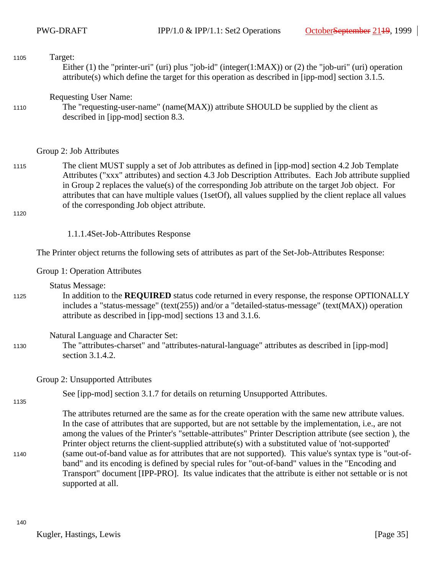## Target: Either (1) the "printer-uri" (uri) plus "job-id" (integer(1:MAX)) or (2) the "job-uri" (uri) operation attribute(s) which define the target for this operation as described in [ipp-mod] section 3.1.5. 1105

Requesting User Name:

The "requesting-user-name" (name(MAX)) attribute SHOULD be supplied by the client as described in [ipp-mod] section 8.3. 1110

### Group 2: Job Attributes

The client MUST supply a set of Job attributes as defined in [ipp-mod] section 4.2 Job Template Attributes ("xxx" attributes) and section 4.3 Job Description Attributes. Each Job attribute supplied in Group 2 replaces the value(s) of the corresponding Job attribute on the target Job object. For attributes that can have multiple values (1setOf), all values supplied by the client replace all values of the corresponding Job object attribute. 1115

1120

1.1.1.4Set-Job-Attributes Response

The Printer object returns the following sets of attributes as part of the Set-Job-Attributes Response:

Group 1: Operation Attributes

Status Message:

In addition to the **REQUIRED** status code returned in every response, the response OPTIONALLY includes a "status-message" (text(255)) and/or a "detailed-status-message" (text(MAX)) operation attribute as described in [ipp-mod] sections 13 and 3.1.6. 1125

### Natural Language and Character Set:

The "attributes-charset" and "attributes-natural-language" attributes as described in [ipp-mod] section 3.1.4.2. 1130

Group 2: Unsupported Attributes

See [ipp-mod] section 3.1.7 for details on returning Unsupported Attributes.

1135

1140

The attributes returned are the same as for the create operation with the same new attribute values. In the case of attributes that are supported, but are not settable by the implementation, i.e., are not among the values of the Printer's "settable-attributes" Printer Description attribute (see section ), the Printer object returns the client-supplied attribute(s) with a substituted value of 'not-supported' (same out-of-band value as for attributes that are not supported). This value's syntax type is "out-ofband" and its encoding is defined by special rules for "out-of-band" values in the "Encoding and Transport" document [IPP-PRO]. Its value indicates that the attribute is either not settable or is not supported at all.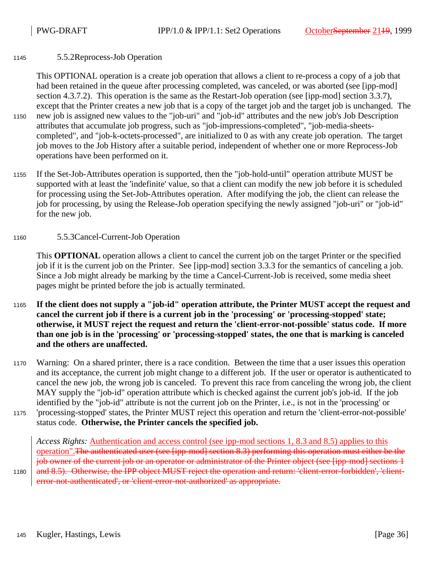#### 5.5.2Reprocess-Job Operation 1145

This OPTIONAL operation is a create job operation that allows a client to re-process a copy of a job that had been retained in the queue after processing completed, was canceled, or was aborted (see [ipp-mod] section 4.3.7.2). This operation is the same as the Restart-Job operation (see [ipp-mod] section 3.3.7), except that the Printer creates a new job that is a copy of the target job and the target job is unchanged. The new job is assigned new values to the "job-uri" and "job-id" attributes and the new job's Job Description attributes that accumulate job progress, such as "job-impressions-completed", "job-media-sheetscompleted", and "job-k-octets-processed", are initialized to 0 as with any create job operation. The target job moves to the Job History after a suitable period, independent of whether one or more Reprocess-Job operations have been performed on it. 1150

If the Set-Job-Attributes operation is supported, then the "job-hold-until" operation attribute MUST be supported with at least the 'indefinite' value, so that a client can modify the new job before it is scheduled for processing using the Set-Job-Attributes operation. After modifying the job, the client can release the job for processing, by using the Release-Job operation specifying the newly assigned "job-uri" or "job-id" for the new job. 1155

#### 5.5.3Cancel-Current-Job Operation 1160

This **OPTIONAL** operation allows a client to cancel the current job on the target Printer or the specified job if it is the current job on the Printer. See [ipp-mod] section 3.3.3 for the semantics of canceling a job. Since a Job might already be marking by the time a Cancel-Current-Job is received, some media sheet pages might be printed before the job is actually terminated.

- **If the client does not supply a "job-id" operation attribute, the Printer MUST accept the request and cancel the current job if there is a current job in the 'processing' or 'processing-stopped' state; otherwise, it MUST reject the request and return the 'client-error-not-possible' status code. If more than one job is in the 'processing' or 'processing-stopped' states, the one that is marking is canceled and the others are unaffected.** 1165
- Warning: On a shared printer, there is a race condition. Between the time that a user issues this operation and its acceptance, the current job might change to a different job. If the user or operator is authenticated to cancel the new job, the wrong job is canceled. To prevent this race from canceling the wrong job, the client MAY supply the "job-id" operation attribute which is checked against the current job's job-id. If the job identified by the "job-id" attribute is not the current job on the Printer, i.e., is not in the 'processing' or 'processing-stopped' states, the Printer MUST reject this operation and return the 'client-error-not-possible' status code. **Otherwise, the Printer cancels the specified job.** 1170 1175

*Access Rights:* Authentication and access control (see ipp-mod sections 1, 8.3 and 8.5) applies to this operation".The authenticated user (see [ipp-mod] section 8.3) performing this operation must either be the job owner of the current job or an operator or administrator of the Printer object (see [ipp-mod] sections 1 and 8.5). Otherwise, the IPP object MUST reject the operation and return: 'client-error-forbidden', 'client-

error-not-authenticated', or 'client-error-not-authorized' as appropriate.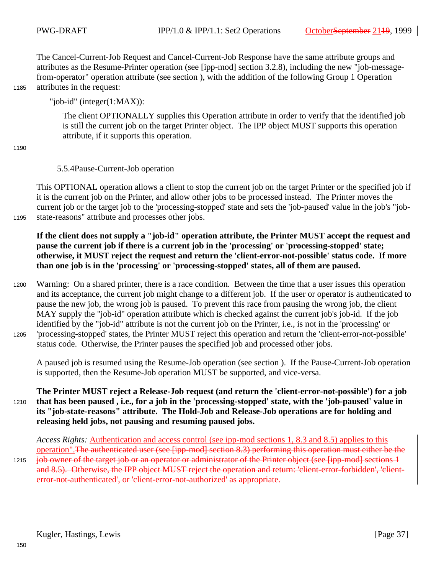The Cancel-Current-Job Request and Cancel-Current-Job Response have the same attribute groups and attributes as the Resume-Printer operation (see [ipp-mod] section 3.2.8), including the new "job-messagefrom-operator" operation attribute (see section ), with the addition of the following Group 1 Operation attributes in the request:

1185

"job-id" (integer(1:MAX)):

The client OPTIONALLY supplies this Operation attribute in order to verify that the identified job is still the current job on the target Printer object. The IPP object MUST supports this operation attribute, if it supports this operation.

1190

### 5.5.4Pause-Current-Job operation

This OPTIONAL operation allows a client to stop the current job on the target Printer or the specified job if it is the current job on the Printer, and allow other jobs to be processed instead. The Printer moves the current job or the target job to the 'processing-stopped' state and sets the 'job-paused' value in the job's "jobstate-reasons" attribute and processes other jobs.

1195

**If the client does not supply a "job-id" operation attribute, the Printer MUST accept the request and pause the current job if there is a current job in the 'processing' or 'processing-stopped' state; otherwise, it MUST reject the request and return the 'client-error-not-possible' status code. If more than one job is in the 'processing' or 'processing-stopped' states, all of them are paused.**

Warning: On a shared printer, there is a race condition. Between the time that a user issues this operation and its acceptance, the current job might change to a different job. If the user or operator is authenticated to pause the new job, the wrong job is paused. To prevent this race from pausing the wrong job, the client MAY supply the "job-id" operation attribute which is checked against the current job's job-id. If the job identified by the "job-id" attribute is not the current job on the Printer, i.e., is not in the 'processing' or 'processing-stopped' states, the Printer MUST reject this operation and return the 'client-error-not-possible' status code. Otherwise, the Printer pauses the specified job and processed other jobs. 1200 1205

A paused job is resumed using the Resume-Job operation (see section ). If the Pause-Current-Job operation is supported, then the Resume-Job operation MUST be supported, and vice-versa.

### **The Printer MUST reject a Release-Job request (and return the 'client-error-not-possible') for a job that has been paused , i.e., for a job in the 'processing-stopped' state, with the 'job-paused' value in its "job-state-reasons" attribute. The Hold-Job and Release-Job operations are for holding and releasing held jobs, not pausing and resuming paused jobs.** 1210

*Access Rights:* Authentication and access control (see ipp-mod sections 1, 8.3 and 8.5) applies to this operation".The authenticated user (see [ipp-mod] section 8.3) performing this operation must either be the job owner of the target job or an operator or administrator of the Printer object (see [ipp-mod] sections 1 and 8.5). Otherwise, the IPP object MUST reject the operation and return: 'client-error-forbidden', 'clienterror-not-authenticated', or 'client-error-not-authorized' as appropriate. 1215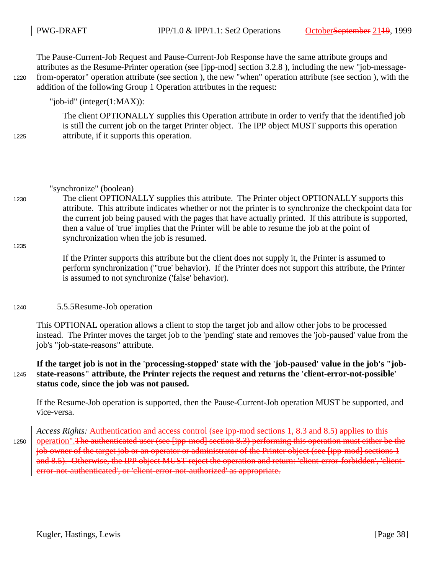1220

1225

1235

The Pause-Current-Job Request and Pause-Current-Job Response have the same attribute groups and attributes as the Resume-Printer operation (see [ipp-mod] section 3.2.8 ), including the new "job-messagefrom-operator" operation attribute (see section ), the new "when" operation attribute (see section ), with the addition of the following Group 1 Operation attributes in the request:

## "job-id" (integer(1:MAX)):

The client OPTIONALLY supplies this Operation attribute in order to verify that the identified job is still the current job on the target Printer object. The IPP object MUST supports this operation attribute, if it supports this operation.

### "synchronize" (boolean)

The client OPTIONALLY supplies this attribute. The Printer object OPTIONALLY supports this attribute. This attribute indicates whether or not the printer is to synchronize the checkpoint data for the current job being paused with the pages that have actually printed. If this attribute is supported, then a value of 'true' implies that the Printer will be able to resume the job at the point of synchronization when the job is resumed. 1230

> If the Printer supports this attribute but the client does not supply it, the Printer is assumed to perform synchronization ('''true' behavior). If the Printer does not support this attribute, the Printer is assumed to not synchronize ('false' behavior).

#### 5.5.5Resume-Job operation 1240

This OPTIONAL operation allows a client to stop the target job and allow other jobs to be processed instead. The Printer moves the target job to the 'pending' state and removes the 'job-paused' value from the job's "job-state-reasons" attribute.

**If the target job is not in the 'processing-stopped' state with the 'job-paused' value in the job's "jobstate-reasons" attribute, the Printer rejects the request and returns the 'client-error-not-possible' status code, since the job was not paused.** 1245

If the Resume-Job operation is supported, then the Pause-Current-Job operation MUST be supported, and vice-versa.

*Access Rights:* Authentication and access control (see ipp-mod sections 1, 8.3 and 8.5) applies to this operation".The authenticated user (see [ipp-mod] section 8.3) performing this operation must either be the job owner of the target job or an operator or administrator of the Printer object (see [ipp-mod] sections 1 and 8.5). Otherwise, the IPP object MUST reject the operation and return: 'client-error-forbidden', 'clienterror-not-authenticated', or 'client-error-not-authorized' as appropriate. 1250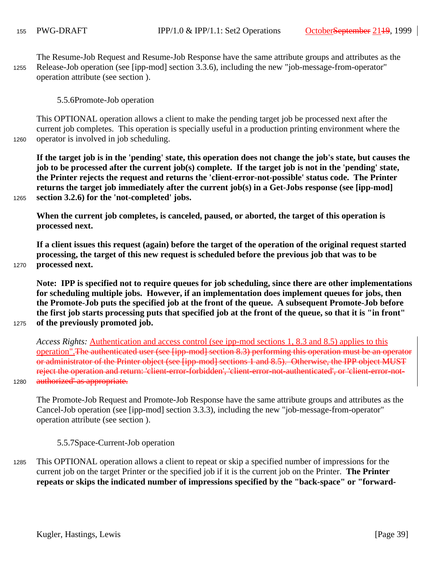The Resume-Job Request and Resume-Job Response have the same attribute groups and attributes as the Release-Job operation (see [ipp-mod] section 3.3.6), including the new "job-message-from-operator" operation attribute (see section ). 1255

5.5.6Promote-Job operation

This OPTIONAL operation allows a client to make the pending target job be processed next after the current job completes. This operation is specially useful in a production printing environment where the operator is involved in job scheduling.

1260

1265

1275

1280

**If the target job is in the 'pending' state, this operation does not change the job's state, but causes the job to be processed after the current job(s) complete. If the target job is not in the 'pending' state, the Printer rejects the request and returns the 'client-error-not-possible' status code. The Printer returns the target job immediately after the current job(s) in a Get-Jobs response (see [ipp-mod] section 3.2.6) for the 'not-completed' jobs.**

**When the current job completes, is canceled, paused, or aborted, the target of this operation is processed next.**

**If a client issues this request (again) before the target of the operation of the original request started processing, the target of this new request is scheduled before the previous job that was to be processed next.** 

1270

**Note: IPP is specified not to require queues for job scheduling, since there are other implementations for scheduling multiple jobs. However, if an implementation does implement queues for jobs, then the Promote-Job puts the specified job at the front of the queue. A subsequent Promote-Job before the first job starts processing puts that specified job at the front of the queue, so that it is "in front" of the previously promoted job.**

*Access Rights:* Authentication and access control (see ipp-mod sections 1, 8.3 and 8.5) applies to this operation".The authenticated user (see [ipp-mod] section 8.3) performing this operation must be an operator or administrator of the Printer object (see [ipp-mod] sections 1 and 8.5). Otherwise, the IPP object MUST reject the operation and return: 'client-error-forbidden', 'client-error-not-authenticated', or 'client-error-notauthorized' as appropriate.

The Promote-Job Request and Promote-Job Response have the same attribute groups and attributes as the Cancel-Job operation (see [ipp-mod] section 3.3.3), including the new "job-message-from-operator" operation attribute (see section ).

5.5.7Space-Current-Job operation

This OPTIONAL operation allows a client to repeat or skip a specified number of impressions for the current job on the target Printer or the specified job if it is the current job on the Printer. **The Printer repeats or skips the indicated number of impressions specified by the "back-space" or "forward-**1285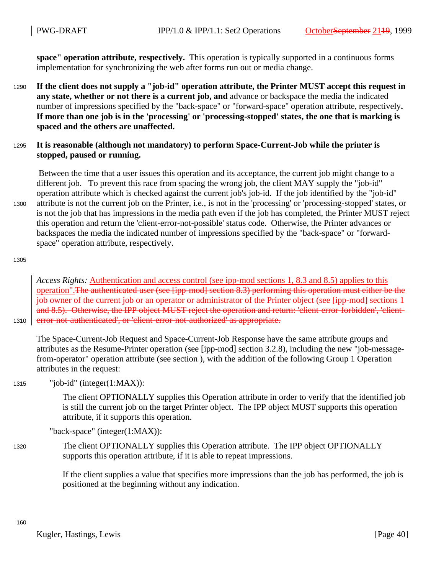**space" operation attribute, respectively.** This operation is typically supported in a continuous forms implementation for synchronizing the web after forms run out or media change.

**If the client does not supply a "job-id" operation attribute, the Printer MUST accept this request in any state, whether or not there is a current job, and** advance or backspace the media the indicated number of impressions specified by the "back-space" or "forward-space" operation attribute, respectively**. If more than one job is in the 'processing' or 'processing-stopped' states, the one that is marking is spaced and the others are unaffected.** 1290

### **It is reasonable (although not mandatory) to perform Space-Current-Job while the printer is stopped, paused or running.** 1295

 Between the time that a user issues this operation and its acceptance, the current job might change to a different job. To prevent this race from spacing the wrong job, the client MAY supply the "job-id" operation attribute which is checked against the current job's job-id. If the job identified by the "job-id" attribute is not the current job on the Printer, i.e., is not in the 'processing' or 'processing-stopped' states, or is not the job that has impressions in the media path even if the job has completed, the Printer MUST reject this operation and return the 'client-error-not-possible' status code. Otherwise, the Printer advances or backspaces the media the indicated number of impressions specified by the "back-space" or "forwardspace" operation attribute, respectively. 1300

1305

*Access Rights:* Authentication and access control (see ipp-mod sections 1, 8.3 and 8.5) applies to this operation".The authenticated user (see [ipp-mod] section 8.3) performing this operation must either be the job owner of the current job or an operator or administrator of the Printer object (see [ipp-mod] sections 1 and 8.5). Otherwise, the IPP object MUST reject the operation and return: 'client-error-forbidden', 'clienterror-not-authenticated', or 'client-error-not-authorized' as appropriate.

1310

The Space-Current-Job Request and Space-Current-Job Response have the same attribute groups and attributes as the Resume-Printer operation (see [ipp-mod] section 3.2.8), including the new "job-messagefrom-operator" operation attribute (see section ), with the addition of the following Group 1 Operation attributes in the request:

"job-id" (integer(1:MAX)): 1315

> The client OPTIONALLY supplies this Operation attribute in order to verify that the identified job is still the current job on the target Printer object. The IPP object MUST supports this operation attribute, if it supports this operation.

"back-space" (integer(1:MAX)):

The client OPTIONALLY supplies this Operation attribute. The IPP object OPTIONALLY supports this operation attribute, if it is able to repeat impressions. 1320

> If the client supplies a value that specifies more impressions than the job has performed, the job is positioned at the beginning without any indication.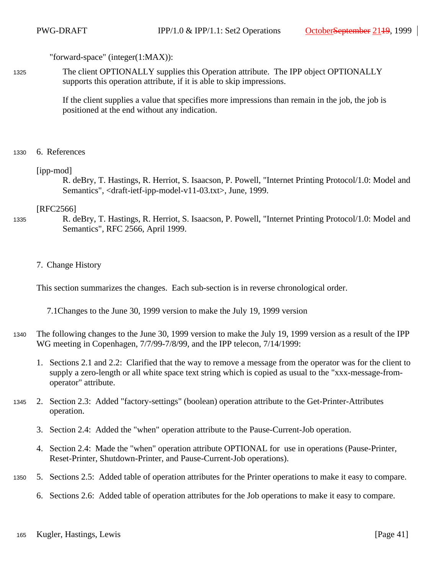"forward-space" (integer(1:MAX)):

The client OPTIONALLY supplies this Operation attribute. The IPP object OPTIONALLY supports this operation attribute, if it is able to skip impressions. 1325

> If the client supplies a value that specifies more impressions than remain in the job, the job is positioned at the end without any indication.

6. References 1330

### [ipp-mod]

R. deBry, T. Hastings, R. Herriot, S. Isaacson, P. Powell, "Internet Printing Protocol/1.0: Model and Semantics", <draft-ietf-ipp-model-v11-03.txt>, June, 1999.

### [RFC2566]

1335

R. deBry, T. Hastings, R. Herriot, S. Isaacson, P. Powell, "Internet Printing Protocol/1.0: Model and Semantics", RFC 2566, April 1999.

### 7. Change History

This section summarizes the changes. Each sub-section is in reverse chronological order.

7.1Changes to the June 30, 1999 version to make the July 19, 1999 version

- The following changes to the June 30, 1999 version to make the July 19, 1999 version as a result of the IPP WG meeting in Copenhagen, 7/7/99-7/8/99, and the IPP telecon, 7/14/1999: 1340
	- 1. Sections 2.1 and 2.2: Clarified that the way to remove a message from the operator was for the client to supply a zero-length or all white space text string which is copied as usual to the "xxx-message-fromoperator" attribute.
- 2. Section 2.3: Added "factory-settings" (boolean) operation attribute to the Get-Printer-Attributes operation. 1345
	- 3. Section 2.4: Added the "when" operation attribute to the Pause-Current-Job operation.
	- 4. Section 2.4: Made the "when" operation attribute OPTIONAL for use in operations (Pause-Printer, Reset-Printer, Shutdown-Printer, and Pause-Current-Job operations).
- 5. Sections 2.5: Added table of operation attributes for the Printer operations to make it easy to compare. 1350
	- 6. Sections 2.6: Added table of operation attributes for the Job operations to make it easy to compare.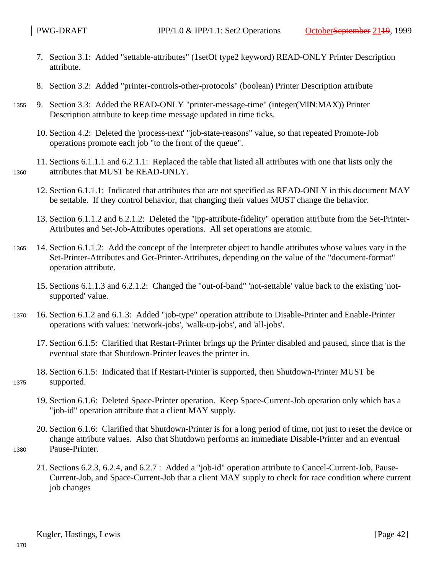- 7. Section 3.1: Added "settable-attributes" (1setOf type2 keyword) READ-ONLY Printer Description attribute.
- 8. Section 3.2: Added "printer-controls-other-protocols" (boolean) Printer Description attribute
- 9. Section 3.3: Added the READ-ONLY "printer-message-time" (integer(MIN:MAX)) Printer Description attribute to keep time message updated in time ticks. 1355
	- 10. Section 4.2: Deleted the 'process-next' "job-state-reasons" value, so that repeated Promote-Job operations promote each job "to the front of the queue".
	- 11. Sections 6.1.1.1 and 6.2.1.1: Replaced the table that listed all attributes with one that lists only the attributes that MUST be READ-ONLY.
	- 12. Section 6.1.1.1: Indicated that attributes that are not specified as READ-ONLY in this document MAY be settable. If they control behavior, that changing their values MUST change the behavior.
	- 13. Section 6.1.1.2 and 6.2.1.2: Deleted the "ipp-attribute-fidelity" operation attribute from the Set-Printer-Attributes and Set-Job-Attributes operations. All set operations are atomic.
- 14. Section 6.1.1.2: Add the concept of the Interpreter object to handle attributes whose values vary in the Set-Printer-Attributes and Get-Printer-Attributes, depending on the value of the "document-format" operation attribute. 1365
	- 15. Sections 6.1.1.3 and 6.2.1.2: Changed the "out-of-band" 'not-settable' value back to the existing 'notsupported' value.
- 16. Section 6.1.2 and 6.1.3: Added "job-type" operation attribute to Disable-Printer and Enable-Printer operations with values: 'network-jobs', 'walk-up-jobs', and 'all-jobs'. 1370
	- 17. Section 6.1.5: Clarified that Restart-Printer brings up the Printer disabled and paused, since that is the eventual state that Shutdown-Printer leaves the printer in.
	- 18. Section 6.1.5: Indicated that if Restart-Printer is supported, then Shutdown-Printer MUST be supported.
		- 19. Section 6.1.6: Deleted Space-Printer operation. Keep Space-Current-Job operation only which has a "job-id" operation attribute that a client MAY supply.
	- 20. Section 6.1.6: Clarified that Shutdown-Printer is for a long period of time, not just to reset the device or change attribute values. Also that Shutdown performs an immediate Disable-Printer and an eventual Pause-Printer.
- 1380

1375

1360

21. Sections 6.2.3, 6.2.4, and 6.2.7 : Added a "job-id" operation attribute to Cancel-Current-Job, Pause-Current-Job, and Space-Current-Job that a client MAY supply to check for race condition where current job changes